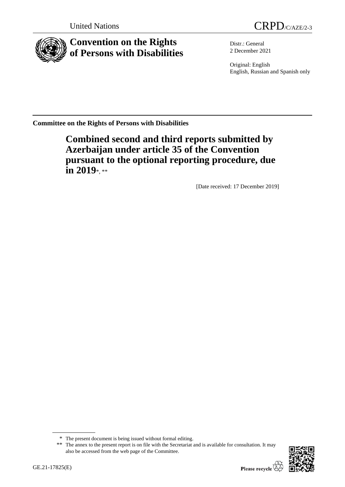



**Convention on the Rights of Persons with Disabilities**

Distr.: General 2 December 2021

Original: English English, Russian and Spanish only

**Committee on the Rights of Persons with Disabilities**

**Combined second and third reports submitted by Azerbaijan under article 35 of the Convention pursuant to the optional reporting procedure, due in 2019**\*, \*\*

[Date received: 17 December 2019]

<sup>\*\*</sup> The annex to the present report is on file with the Secretariat and is available for consultation. It may also be accessed from the web page of the Committee.



<sup>\*</sup> The present document is being issued without formal editing.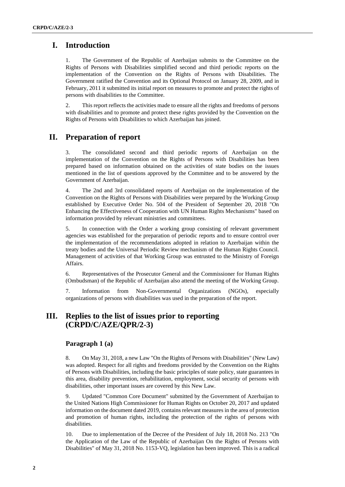# **I. Introduction**

1. The Government of the Republic of Azerbaijan submits to the Committee on the Rights of Persons with Disabilities simplified second and third periodic reports on the implementation of the Convention on the Rights of Persons with Disabilities. The Government ratified the Convention and its Optional Protocol on January 28, 2009, and in February, 2011 it submitted its initial report on measures to promote and protect the rights of persons with disabilities to the Committee.

2. This report reflects the activities made to ensure all the rights and freedoms of persons with disabilities and to promote and protect these rights provided by the Convention on the Rights of Persons with Disabilities to which Azerbaijan has joined.

# **II. Preparation of report**

The consolidated second and third periodic reports of Azerbaijan on the implementation of the Convention on the Rights of Persons with Disabilities has been prepared based on information obtained on the activities of state bodies on the issues mentioned in the list of questions approved by the Committee and to be answered by the Government of Azerbaijan.

4. The 2nd and 3rd consolidated reports of Azerbaijan on the implementation of the Convention on the Rights of Persons with Disabilities were prepared by the Working Group established by Executive Order No. 504 of the President of September 20, 2018 "On Enhancing the Effectiveness of Cooperation with UN Human Rights Mechanisms" based on information provided by relevant ministries and committees.

5. In connection with the Order a working group consisting of relevant government agencies was established for the preparation of periodic reports and to ensure control over the implementation of the recommendations adopted in relation to Azerbaijan within the treaty bodies and the Universal Periodic Review mechanism of the Human Rights Council. Management of activities of that Working Group was entrusted to the Ministry of Foreign Affairs.

6. Representatives of the Prosecutor General and the Commissioner for Human Rights (Ombudsman) of the Republic of Azerbaijan also attend the meeting of the Working Group.

7. Information from Non-Governmental Organizations (NGOs), especially organizations of persons with disabilities was used in the preparation of the report.

# **III. Replies to the list of issues prior to reporting (CRPD/C/AZE/QPR/2-3)**

## **Paragraph 1 (a)**

8. On May 31, 2018, a new Law "On the Rights of Persons with Disabilities" (New Law) was adopted. Respect for all rights and freedoms provided by the Convention on the Rights of Persons with Disabilities, including the basic principles of state policy, state guarantees in this area, disability prevention, rehabilitation, employment, social security of persons with disabilities, other important issues are covered by this New Law.

9. Updated "Common Core Document" submitted by the Government of Azerbaijan to the United Nations High Commissioner for Human Rights on October 20, 2017 and updated information on the document dated 2019, contains relevant measures in the area of protection and promotion of human rights, including the protection of the rights of persons with disabilities.

10. Due to implementation of the Decree of the President of July 18, 2018 No. 213 "On the Application of the Law of the Republic of Azerbaijan On the Rights of Persons with Disabilities" of May 31, 2018 No. 1153-VQ, legislation has been improved. This is a radical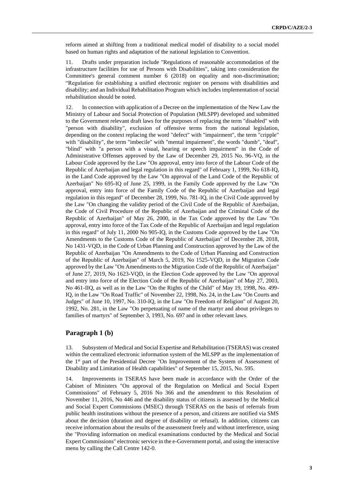reform aimed at shifting from a traditional medical model of disability to a social model based on human rights and adaptation of the national legislation to Convention.

11. Drafts under preparation include "Regulations of reasonable accommodation of the infrastructure facilities for use of Persons with Disabilities", taking into consideration the Committee's general comment number 6 (2018) on equality and non-discrimination; "Regulation for establishing a unified electronic register on persons with disabilities and disability; and an Individual Rehabilitation Program which includes implementation of social rehabilitation should be noted.

12. In connection with application of a Decree on the implementation of the New Law the Ministry of Labour and Social Protection of Population (MLSPP) developed and submitted to the Government relevant draft laws for the purposes of replacing the term "disabled" with "person with disability", exclusion of offensive terms from the national legislation, depending on the context replacing the word "defect" with "impairment", the term "cripple" with "disability", the term "imbecile" with "mental impairment", the words "dumb", "deaf", "blind" with "a person with a visual, hearing or speech impairment" in the Code of Administrative Offenses approved by the Law of December 29, 2015 No. 96-VQ, in the Labour Code approved by the Law "On approval, entry into force of the Labour Code of the Republic of Azerbaijan and legal regulation in this regard" of February 1, 1999, No 618-IQ, in the Land Code approved by the Law "On approval of the Land Code of the Republic of Azerbaijan" No 695-IQ of June 25, 1999, in the Family Code approved by the Law "On approval, entry into force of the Family Code of the Republic of Azerbaijan and legal regulation in this regard" of December 28, 1999, No. 781-IQ, in the Civil Code approved by the Law "On changing the validity period of the Civil Code of the Republic of Azerbaijan, the Code of Civil Procedure of the Republic of Azerbaijan and the Criminal Code of the Republic of Azerbaijan" of May 26, 2000, in the Tax Code approved by the Law "On approval, entry into force of the Tax Code of the Republic of Azerbaijan and legal regulation in this regard" of July 11, 2000 No 905-IQ, in the Customs Code approved by the Law "On Amendments to the Customs Code of the Republic of Azerbaijan" of December 28, 2018, No 1431-VQD, in the Code of Urban Planning and Construction approved by the Law of the Republic of Azerbaijan "On Amendments to the Code of Urban Planning and Construction of the Republic of Azerbaijan" of March 5, 2019, No 1525-VQD, in the Migration Code approved by the Law "On Amendments to the Migration Code of the Republic of Azerbaijan" of June 27, 2019, No 1623-VQD, in the Election Code approved by the Law "On approval and entry into force of the Election Code of the Republic of Azerbaijan" of May 27, 2003, No 461-IIQ, as well as in the Law "On the Rights of the Child" of May 19, 1998, No. 499- IQ, in the Law "On Road Traffic" of November 22, 1998, No. 24, in the Law "On Courts and Judges" of June 10, 1997, No. 310-IQ, in the Law "On Freedom of Religion" of August 20, 1992, No. 281, in the Law "On perpetuating of name of the martyr and about privileges to families of martyrs" of September 3, 1993, No. 697 and in other relevant laws.

### **Paragraph 1 (b)**

13. Subsystem of Medical and Social Expertise and Rehabilitation (TSERAS) was created within the centralized electronic information system of the MLSPP as the implementation of the 1st part of the Presidential Decree "On Improvement of the System of Assessment of Disability and Limitation of Health capabilities" of September 15, 2015, No. 595.

14. Improvements in TSERAS have been made in accordance with the Order of the Cabinet of Ministers "On approval of the Regulation on Medical and Social Expert Commissions" of February 5, 2016 No 366 and the amendment to this Resolution of November 11, 2016, No 446 and the disability status of citizens is assessed by the Medical and Social Expert Commissions (MSEC) through TSERAS on the basis of referrals from public health institutions without the presence of a person, and citizens are notified via SMS about the decision (duration and degree of disability or refusal). In addition, citizens can receive information about the results of the assessment freely and without interference, using the "Providing information on medical examinations conducted by the Medical and Social Expert Commissions" electronic service in the e-Government portal, and using the interactive menu by calling the Call Centre 142-0.

**3**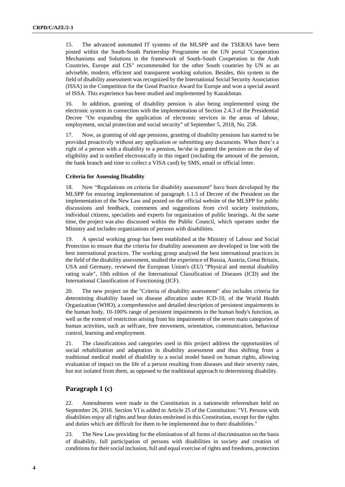15. The advanced automated IT systems of the MLSPP and the TSERAS have been posted within the South-South Partnership Programme on the UN portal "Cooperation Mechanisms and Solutions in the framework of South-South Cooperation in the Arab Countries, Europe and CIS" recommended for the other South countries by UN as an adviseble, modern, efficient and transparent working solution. Besides, this system in the field of disability assessment was recognized by the International Social Security Association (ISSA) in the Competition for the Good Practice Award for Europe and won a special award of ISSA. This experience has been studied and implemented by Kazakhstan.

16. In addition, granting of disability pension is also being implemented using the electronic system in connection with the implementation of Section 2.4.3 of the Presidential Decree "On expanding the application of electronic services in the areas of labour, employment, social protection and social security" of September 5, 2018, No. 258.

17. Now, as granting of old age pensions, granting of disability pensions has started to be provided proactively without any application or submitting any documents. When there's a right of a person with a disability to a pension, he/she is granted the pension on the day of eligibility and is notified electronically in this regard (including the amount of the pension, the bank branch and time to collect a VISA card) by SMS, email or official letter.

#### **Criteria for Assessing Disability**

18. New "Regulations on criteria for disability assessment" have been developed by the MLSPP for ensuring implementation of paragraph 1.1.5 of Decree of the President on the implementation of the New Law and posted on the official website of the MLSPP for public discussions and feedback, comments and suggestions from civil society institutions, individual citizens, specialists and experts for organization of public hearings. At the same time, the project was also discussed within the Public Council, which operates under the Ministry and includes organizations of persons with disabilities.

19. A special working group has been established at the Ministry of Labour and Social Protection to ensure that the criteria for disability assessment are developed in line with the best international practices. The working group analysed the best international practices in the field of the disability assessment, studied the experience of Russia, Austria, Great Britain, USA and Germany, reviewed the European Union's (EU) "Physical and mental disability rating scale", 10th edition of the International Classification of Diseases (ICD) and the International Classification of Functioning (ICF).

20. The new project on the "Criteria of disability assessment" also includes criteria for determining disability based on disease allocation under ICD-10, of the World Health Organization (WHO), a comprehensive and detailed description of persistent impairments in the human body, 10-100% range of persistent impairments in the human body's function, as well as the extent of restriction arising from his impairments of the seven main categories of human activities, such as selfcare, free movement, orientation, communication, behaviour control, learning and employment.

21. The classifications and categories used in this project address the opportunities of social rehabilitation and adaptation in disability assessment and thus shifting from a traditional medical model of disability to a social model based on human rights, allowing evaluation of impact on the life of a person resulting from diseases and their severity rates, but not isolated from them, as opposed to the traditional approach to determining disability.

## **Paragraph 1 (c)**

22. Amendments were made to the Constitution in a nationwide referendum held on September 26, 2016. Section VI is added to Article 25 of the Constitution: "VI. Persons with disabilities enjoy all rights and bear duties enshrined in this Constitution, except for the rights and duties which are difficult for them to be implemented due to their disabilities."

23. The New Law providing for the elimination of all forms of discrimination on the basis of disability, full participation of persons with disabilities in society and creation of conditions for their social inclusion, full and equal exercise of rights and freedoms, protection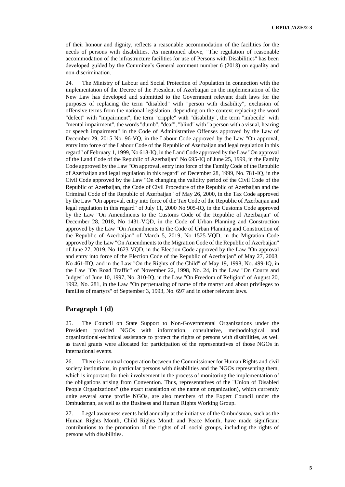of their honour and dignity, reflects a reasonable accommodation of the facilities for the needs of persons with disabilities. As mentioned above, "The regulation of reasonable accommodation of the infrastructure facilities for use of Persons with Disabilities" has been developed guided by the Commitee's General comment number 6 (2018) on equality and non-discrimination.

24. The Ministry of Labour and Social Protection of Population in connection with the implementation of the Decree of the President of Azerbaijan on the implementation of the New Law has developed and submitted to the Government relevant draft laws for the purposes of replacing the term "disabled" with "person with disability", exclusion of offensive terms from the national legislation, depending on the context replacing the word "defect" with "impairment", the term "cripple" with "disability", the term "imbecile" with "mental impairment", the words "dumb", "deaf", "blind" with "a person with a visual, hearing or speech impairment" in the Code of Administrative Offenses approved by the Law of December 29, 2015 No. 96-VQ, in the Labour Code approved by the Law "On approval, entry into force of the Labour Code of the Republic of Azerbaijan and legal regulation in this regard" of February 1, 1999, No 618-IQ, in the Land Code approved by the Law "On approval of the Land Code of the Republic of Azerbaijan" No 695-IQ of June 25, 1999, in the Family Code approved by the Law "On approval, entry into force of the Family Code of the Republic of Azerbaijan and legal regulation in this regard" of December 28, 1999, No. 781-IQ, in the Civil Code approved by the Law "On changing the validity period of the Civil Code of the Republic of Azerbaijan, the Code of Civil Procedure of the Republic of Azerbaijan and the Criminal Code of the Republic of Azerbaijan" of May 26, 2000, in the Tax Code approved by the Law "On approval, entry into force of the Tax Code of the Republic of Azerbaijan and legal regulation in this regard" of July 11, 2000 No 905-IQ, in the Customs Code approved by the Law "On Amendments to the Customs Code of the Republic of Azerbaijan" of December 28, 2018, No 1431-VQD, in the Code of Urban Planning and Construction approved by the Law "On Amendments to the Code of Urban Planning and Construction of the Republic of Azerbaijan" of March 5, 2019, No 1525-VQD, in the Migration Code approved by the Law "On Amendments to the Migration Code of the Republic of Azerbaijan" of June 27, 2019, No 1623-VQD, in the Election Code approved by the Law "On approval and entry into force of the Election Code of the Republic of Azerbaijan" of May 27, 2003, No 461-IIQ, and in the Law "On the Rights of the Child" of May 19, 1998, No. 499-IQ, in the Law "On Road Traffic" of November 22, 1998, No. 24, in the Law "On Courts and Judges" of June 10, 1997, No. 310-IQ, in the Law "On Freedom of Religion" of August 20, 1992, No. 281, in the Law "On perpetuating of name of the martyr and about privileges to families of martyrs" of September 3, 1993, No. 697 and in other relevant laws.

#### **Paragraph 1 (d)**

25. The Council on State Support to Non-Governmental Organizations under the President provided NGOs with information, consultative, methodological and organizational-technical assistance to protect the rights of persons with disabilities, as well as travel grants were allocated for participation of the representatives of those NGOs in international events.

26. There is a mutual cooperation between the Commissioner for Human Rights and civil society institutions, in particular persons with disabilities and the NGOs representing them, which is important for their involvement in the process of monitoring the implementation of the obligations arising from Convention. Thus, representatives of the "Union of Disabled People Organizations" (the exact translation of the name of organization), which currently unite several same profile NGOs, are also members of the Expert Council under the Ombudsman, as well as the Business and Human Rights Working Group.

27. Legal awareness events held annually at the initiative of the Ombudsman, such as the Human Rights Month, Child Rights Month and Peace Month, have made significant contributions to the promotion of the rights of all social groups, including the rights of persons with disabilities.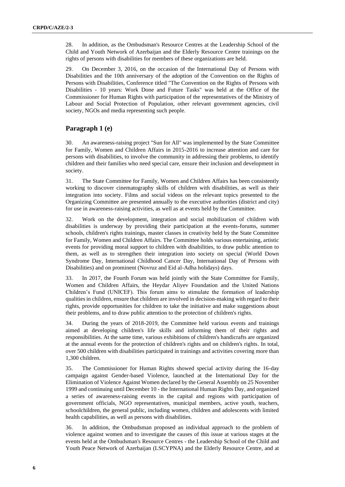28. In addition, as the Ombudsman's Resource Centres at the Leadership School of the Child and Youth Network of Azerbaijan and the Elderly Resource Centre trainings on the rights of persons with disabilities for members of these organizations are held.

29. On December 3, 2016, on the occasion of the International Day of Persons with Disabilities and the 10th anniversary of the adoption of the Convention on the Rights of Persons with Disabilities, Conference titled "The Convention on the Rights of Persons with Disabilities - 10 years: Work Done and Future Tasks" was held at the Office of the Commissioner for Human Rights with participation of the representatives of the Ministry of Labour and Social Protection of Population, other relevant government agencies, civil society, NGOs and media representing such people.

## **Paragraph 1 (e)**

30. An awareness-raising project "Sun for All" was implemented by the State Committee for Family, Women and Children Affairs in 2015-2016 to increase attention and care for persons with disabilities, to involve the community in addressing their problems, to identify children and their families who need special care, ensure their inclusion and development in society.

31. The State Committee for Family, Women and Children Affairs has been consistently working to discover cinematography skills of children with disabilities, as well as their integration into society. Films and social videos on the relevant topics presented to the Organizing Committee are presented annually to the executive authorities (district and city) for use in awareness-raising activities, as well as at events held by the Committee.

32. Work on the development, integration and social mobilization of children with disabilities is underway by providing their participation at the events-forums, summer schools, children's rights trainings, master classes in creativity held by the State Committee for Family, Women and Children Affairs. The Committee holds various entertaining, artistic events for providing moral support to children with disabilities, to draw public attention to them, as well as to strengthen their integration into society on special (World Down Syndrome Day, International Childhood Cancer Day, International Day of Persons with Disabilities) and on prominent (Novruz and Eid al-Adha holidays) days.

33. In 2017, the Fourth Forum was held jointly with the State Committee for Family, Women and Children Affairs, the Heydar Aliyev Foundation and the United Nations Children's Fund (UNICEF). This forum aims to stimulate the formation of leadership qualities in children, ensure that children are involved in decision-making with regard to their rights, provide opportunities for children to take the initiative and make suggestions about their problems, and to draw public attention to the protection of children's rights.

34. During the years of 2018-2019, the Committee held various events and trainings aimed at developing children's life skills and informing them of their rights and responsibilities. At the same time, various exhibitions of children's handicrafts are organized at the annual events for the protection of children's rights and on children's rights. In total, over 500 children with disabilities participated in trainings and activities covering more than 1,300 children.

35. The Commissioner for Human Rights showed special activity during the 16-day campaign against Gender-based Violence, launched at the International Day for the Elimination of Violence Against Women declared by the General Assembly on 25 November 1999 and continuing until December 10 - the International Human Rights Day, and organized a series of awareness-raising events in the capital and regions with participation of government officials, NGO representatives, municipal members, active youth, teachers, schoolchildren, the general public, including women, children and adolescents with limited health capabilities, as well as persons with disabilities.

36. In addition, the Ombudsman proposed an individual approach to the problem of violence against women and to investigate the causes of this issue at various stages at the events held at the Ombudsman's Resource Centres - the Leadership School of the Child and Youth Peace Network of Azerbaijan (LSCYPNA) and the Elderly Resource Centre, and at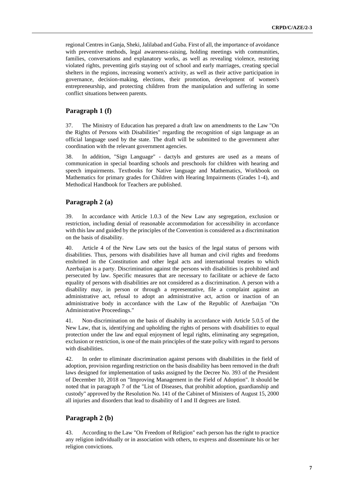regional Centres in Ganja, Sheki, Jalilabad and Guba. First of all, the importance of avoidance with preventive methods, legal awareness-raising, holding meetings with communities, families, conversations and explanatory works, as well as revealing violence, restoring violated rights, preventing girls staying out of school and early marriages, creating special shelters in the regions, increasing women's activity, as well as their active participation in governance, decision-making, elections, their promotion, development of women's entrepreneurship, and protecting children from the manipulation and suffering in some conflict situations between parents.

## **Paragraph 1 (f)**

37. The Ministry of Education has prepared a draft law on amendments to the Law "On the Rights of Persons with Disabilities" regarding the recognition of sign language as an official language used by the state. The draft will be submitted to the government after coordination with the relevant government agencies.

38. In addition, "Sign Language" - dactyls and gestures are used as a means of communication in special boarding schools and preschools for children with hearing and speech impairments. Textbooks for Native language and Mathematics, Workbook on Mathematics for primary grades for Children with Hearing Impairments (Grades 1-4), and Methodical Handbook for Teachers are published.

### **Paragraph 2 (a)**

39. In accordance with Article 1.0.3 of the New Law any segregation, exclusion or restriction, including denial of reasonable accommodation for accessibility in accordance with this law and guided by the principles of the Convention is considered as a discrimination on the basis of disability.

40. Article 4 of the New Law sets out the basics of the legal status of persons with disabilities. Thus, persons with disabilities have all human and civil rights and freedoms enshrined in the Constitution and other legal acts and international treaties to which Azerbaijan is a party. Discrimination against the persons with disabilities is prohibited and persecuted by law. Specific measures that are necessary to facilitate or achieve de facto equality of persons with disabilities are not considered as a discrimination. A person with a disability may, in person or through a representative, file a complaint against an administrative act, refusal to adopt an administrative act, action or inaction of an administrative body in accordance with the Law of the Republic of Azerbaijan "On Administrative Proceedings."

41. Non-discrimination on the basis of disabilty in accordance with Article 5.0.5 of the New Law, that is, identifying and upholding the rights of persons with disabilities to equal protection under the law and equal enjoyment of legal rights, eliminating any segregation, exclusion or restriction, is one of the main principles of the state policy with regard to persons with disabilities.

42. In order to eliminate discrimination against persons with disabilities in the field of adoption, provision regarding restriction on the basis disability has been removed in the draft laws designed for implementation of tasks assigned by the Decree No. 393 of the President of December 10, 2018 on "Improving Management in the Field of Adoption". It should be noted that in paragraph 7 of the "List of Diseases, that prohibit adoption, guardianship and custody" approved by the Resolution No. 141 of the Cabinet of Ministers of August 15, 2000 all injuries and disorders that lead to disability of I and II degrees are listed.

## **Paragraph 2 (b)**

43. According to the Law "On Freedom of Religion" each person has the right to practice any religion individually or in association with others, to express and disseminate his or her religion convictions.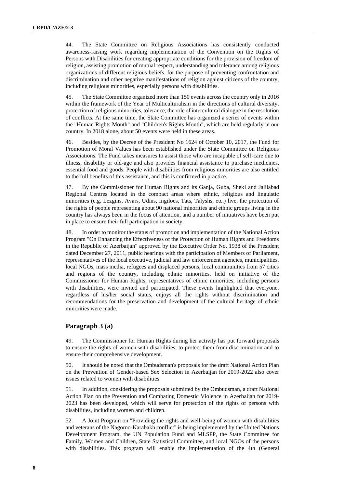44. The State Committee on Religious Associations has consistently conducted awareness-raising work regarding implementation of the Convention on the Rights of Persons with Disabilities for creating appropriate conditions for the provision of freedom of religion, assisting promotion of mutual respect, understanding and tolerance among religious organizations of different religious beliefs, for the purpose of preventing confrontation and discrimination and other negative manifestations of religion against citizens of the country, including religious minorities, especially persons with disabilities.

45. The State Committee organized more than 150 events across the country only in 2016 within the framework of the Year of Multiculturalism in the directions of cultural diversity, protection of religious minorities, tolerance, the role of intercultural dialogue in the resolution of conflicts. At the same time, the State Committee has organized a series of events within the "Human Rights Month" and "Children's Rights Month", which are held regularly in our country. In 2018 alone, about 50 events were held in these areas.

46. Besides, by the Decree of the President No 1624 of October 10, 2017, the Fund for Promotion of Moral Values has been established under the State Committee on Religious Associations. The Fund takes measures to assist those who are incapable of self-care due to illness, disability or old-age and also provides financial assistance to purchase medicines, essential food and goods. People with disabilities from religious minorities are also entitled to the full benefits of this assistance, and this is confirmed in practice.

47. By the Commissioner for Human Rights and its Ganja, Guba, Sheki and Jalilabad Regional Centres located in the compact areas where ethnic, religious and linguistic minorities (e.g. Lezgins, Avars, Udins, Ingiloes, Tats, Talyshs, etc.) live, the protection of the rights of people representing about 90 national minorities and ethnic groups living in the country has always been in the focus of attention, and a number of initiatives have been put in place to ensure their full participation in society.

48. In order to monitor the status of promotion and implementation of the National Action Program "On Enhancing the Effectiveness of the Protection of Human Rights and Freedoms in the Republic of Azerbaijan" approved by the Executive Order No. 1938 of the President dated December 27, 2011, public hearings with the participation of Members of Parliament, representatives of the local executive, judicial and law enforcement agencies, municipalities, local NGOs, mass media, refugees and displaced persons, local communities from 57 cities and regions of the country, including ethnic minorities, held on initiative of the Commissioner for Human Rights, representatives of ethnic minorities, including persons with disabilities, were invited and participated. These events highlighted that everyone, regardless of his/her social status, enjoys all the rights without discrimination and recommendations for the preservation and development of the cultural heritage of ethnic minorities were made.

## **Paragraph 3 (a)**

49. The Commissioner for Human Rights during her activity has put forward proposals to ensure the rights of women with disabilities, to protect them from discrimination and to ensure their comprehensive development.

50. It should be noted that the Ombudsman's proposals for the draft National Action Plan on the Prevention of Gender-based Sex Selection in Azerbaijan for 2019-2022 also cover issues related to women with disabilities.

51. In addition, considering the proposals submitted by the Ombudsman, a draft National Action Plan on the Prevention and Combating Domestic Violence in Azerbaijan for 2019- 2023 has been developed, which will serve for protection of the rights of persons with disabilities, including women and children.

52. A Joint Program on "Providing the rights and well-being of women with disabilities and veterans of the Nagorno-Karabakh conflict" is being implemented by the United Nations Development Program, the UN Population Fund and MLSPP, the State Committee for Family, Women and Children, State Statistical Committee, and local NGOs of the persons with disabilities. This program will enable the implementation of the 4th (General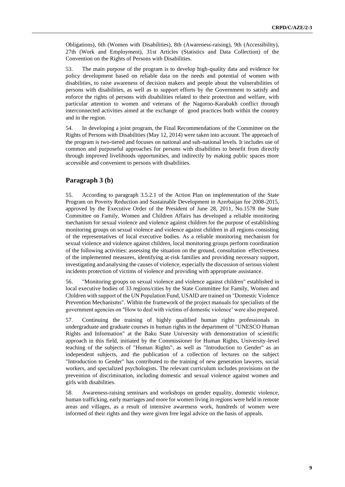Obligations), 6th (Women with Disabilities), 8th (Awareness-raising), 9th (Accessibility), 27th (Work and Employment), 31st Articles (Statistics and Data Collection) of the Convention on the Rights of Persons with Disabilities.

53. The main purpose of the program is to develop high-quality data and evidence for policy development based on reliable data on the needs and potential of women with disabilities, to raise awareness of decision makers and people about the vulnerabilities of persons with disabilities, as well as to support efforts by the Government to satisfy and enforce the rights of persons with disabilities related to their protection and welfare, with particular attention to women and veterans of the Nagorno-Karabakh conflict through interconnected activities aimed at the exchange of good practices both within the country and in the region.

54. In developing a joint program, the Final Recommendations of the Committee on the Rights of Persons with Disabilities (May 12, 2014) were taken into account. The approach of the program is two-tiered and focuses on national and sub-national levels. It includes use of common and purposeful approaches for persons with disabilities to benefit from directly through improved livelihoods opportunities, and indirectly by making public spaces more accessible and convenient to persons with disabilities.

## **Paragraph 3 (b)**

55. According to paragraph 3.5.2.1 of the Action Plan on implementation of the State Program on Poverty Reduction and Sustainable Development in Azerbaijan for 2008-2015, approved by the Executive Order of the President of June 28, 2011, No.1578 the State Committee on Family, Women and Children Affairs has developed a reliable monitoring mechanism for sexual violence and violence against children for the purpose of establishing monitoring groups on sexual violence and violence against children in all regions consisting of the representatives of local executive bodies. As a reliable monitoring mechanism for sexual violence and violence against children, local monitoring groups perform coordination of the following activities: assessing the situation on the ground, consultation effectiveness of the implemented measures, identifying at-risk families and providing necessary support, investigating and analysing the causes of violence, especially the discussion of serious violent incidents protection of victims of violence and providing with appropriate assistance.

56. "Monitoring groups on sexual violence and violence against children" established in local executive bodies of 33 regions/cities by the State Committee for Family, Women and Children with support of the UN Population Fund, USAID are trained on "Domestic Violence Prevention Mechanisms". Within the framework of the project manuals for specialists of the government agencies on "How to deal with victims of domestic violence' were also prepared.

57. Continuing the training of highly qualified human rights professionals in undergraduate and graduate courses in human rights in the department of "UNESCO Human Rights and Information" at the Baku State University with demonstration of scientific approach in this field, initiated by the Commissioner for Human Rights, University-level teaching of the subjects of "Human Rights", as well as "Introduction to Gender" as an independent subjects, and the publication of a collection of lectures on the subject "Introduction to Gender" has contributed to the training of new generation lawyers, social workers, and specialized psychologists. The relevant curriculum includes provisions on the prevention of discrimination, including domestic and sexual violence against women and girls with disabilities.

58. Awareness-raising seminars and workshops on gender equality, domestic violence, human trafficking, early marriages and more for women living in regions were held in remote areas and villages, as a result of intensive awareness work, hundreds of women were informed of their rights and they were given free legal advice on the basis of appeals.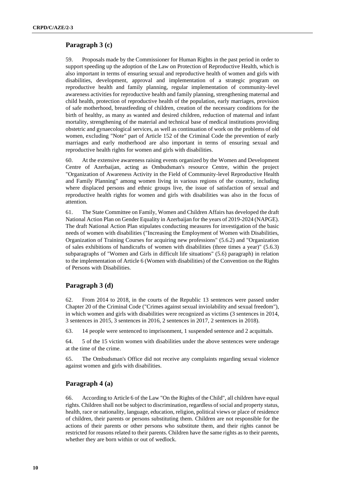## **Paragraph 3 (c)**

59. Proposals made by the Commissioner for Human Rights in the past period in order to support speeding up the adoption of the Law on Protection of Reproductive Health, which is also important in terms of ensuring sexual and reproductive health of women and girls with disabilities, development, approval and implementation of a strategic program on reproductive health and family planning, regular implementation of community-level awareness activities for reproductive health and family planning, strengthening maternal and child health, protection of reproductive health of the population, early marriages, provision of safe motherhood, breastfeeding of children, creation of the necessary conditions for the birth of healthy, as many as wanted and desired children, reduction of maternal and infant mortality, strengthening of the material and technical base of medical institutions providing obstetric and gynaecological services, as well as continuation of work on the problems of old women, excluding "Note" part of Article 152 of the Criminal Code the prevention of early marriages and early motherhood are also important in terms of ensuring sexual and reproductive health rights for women and girls with disabilities.

60. At the extensive awareness raising events organized by the Women and Development Centre of Azerbaijan, acting as Ombudsman's resource Centre, within the project "Organization of Awareness Activity in the Field of Community-level Reproductive Health and Family Planning" among women living in various regions of the country, including where displaced persons and ethnic groups live, the issue of satisfaction of sexual and reproductive health rights for women and girls with disabilities was also in the focus of attention.

61. The State Committee on Family, Women and Children Affairs has developed the draft National Action Plan on Gender Equality in Azerbaijan for the years of 2019-2024 (NAPGE). The draft National Action Plan stipulates conducting measures for investigation of the basic needs of women with disabilities ("Increasing the Employment of Women with Disabilities, Organization of Training Courses for acquiring new professions" (5.6.2) and "Organization of sales exhibitions of handicrafts of women with disabilities (three times a year)" (5.6.3) subparagraphs of "Women and Girls in difficult life situations" (5.6) paragraph) in relation to the implementation of Article 6 (Women with disabilities) of the Convention on the Rights of Persons with Disabilities.

#### **Paragraph 3 (d)**

62. From 2014 to 2018, in the courts of the Republic 13 sentences were passed under Chapter 20 of the Criminal Code ("Crimes against sexual inviolability and sexual freedom"), in which women and girls with disabilities were recognized as victims (3 sentences in 2014, 3 sentences in 2015, 3 sentences in 2016, 2 sentences in 2017, 2 sentences in 2018).

63. 14 people were sentenced to imprisonment, 1 suspended sentence and 2 acquittals.

64. 5 of the 15 victim women with disabilities under the above sentences were underage at the time of the crime.

65. The Ombudsman's Office did not receive any complaints regarding sexual violence against women and girls with disabilities.

## **Paragraph 4 (a)**

66. According to Article 6 of the Law "On the Rights of the Child", all children have equal rights. Children shall not be subject to discrimination, regardless of social and property status, health, race or nationality, language, education, religion, political views or place of residence of children, their parents or persons substituting them. Children are not responsible for the actions of their parents or other persons who substitute them, and their rights cannot be restricted for reasons related to their parents. Children have the same rights as to their parents, whether they are born within or out of wedlock.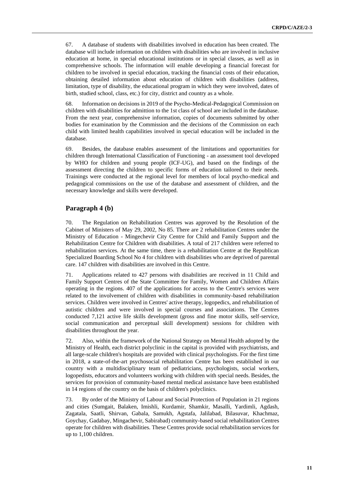67. A database of students with disabilities involved in education has been created. The database will include information on children with disabilities who are involved in inclusive education at home, in special educational institutions or in special classes, as well as in comprehensive schools. The information will enable developing a financial forecast for children to be involved in special education, tracking the financial costs of their education, obtaining detailed information about education of children with disabilities (address, limitation, type of disability, the educational program in which they were involved, dates of birth, studied school, class, etc.) for city, district and country as a whole.

68. Information on decisions in 2019 of the Psycho-Medical-Pedagogical Commission on children with disabilities for admittion to the 1st class of school are included in the database. From the next year, comprehensive information, copies of documents submitted by other bodies for examination by the Commission and the decisions of the Commission on each child with limited health capabilities involved in special education will be included in the database.

69. Besides, the database enables assessment of the limitations and opportunities for children through International Classification of Functioning - an assessment tool developed by WHO for children and young people (ICF-UG), and based on the findings of the assessment directing the children to specific forms of education tailored to their needs. Trainings were conducted at the regional level for members of local psycho-medical and pedagogical commissions on the use of the database and assessment of children, and the necessary knowledge and skills were developed.

### **Paragraph 4 (b)**

70. The Regulation on Rehabilitation Centres was approved by the Resolution of the Cabinet of Ministers of May 29, 2002, No 85. There are 2 rehabilitation Centres under the Ministry of Education - Mingechevir City Centre for Child and Family Support and the Rehabilitation Centre for Children with disabilities. A total of 217 children were referred to rehabilitation services. At the same time, there is a rehabilitation Centre at the Republican Specialized Boarding School No 4 for children with disabilities who are deprived of parental care. 147 children with disabilities are involved in this Centre.

71. Applications related to 427 persons with disabilities are received in 11 Child and Family Support Centres of the State Committee for Family, Women and Children Affairs operating in the regions. 407 of the applications for access to the Centre's services were related to the involvement of children with disabilities in community-based rehabilitation services. Children were involved in Centres' active therapy, logopedics, and rehabilitation of autistic children and were involved in special courses and associations. The Centres conducted 7,121 active life skills development (gross and fine motor skills, self-service, social communication and perceptual skill development) sessions for children with disabilities throughout the year.

72. Also, within the framework of the National Strategy on Mental Health adopted by the Ministry of Health, each district polyclinic in the capital is provided with psychiatrists, and all large-scale children's hospitals are provided with clinical psychologists. For the first time in 2018, a state-of-the-art psychosocial rehabilitation Centre has been established in our country with a multidisciplinary team of pediatricians, psychologists, social workers, logopedists, educators and volunteers working with children with special needs. Besides, the services for provision of community-based mental medical assistance have been established in 14 regions of the country on the basis of children's polyclinics.

73. By order of the Ministry of Labour and Social Protection of Population in 21 regions and cities (Sumgait, Balaken, Imishli, Kurdamir, Shamkir, Masalli, Yardimli, Agdash, Zagatala, Saatli, Shirvan, Gabala, Samukh, Agstafa, Jalilabad, Bilasuvar, Khachmaz, Goychay, Gadabay, Mingachevir, Sabirabad) community-based social rehabilitation Centres operate for children with disabilities. These Centres provide social rehabilitation services for up to 1,100 children.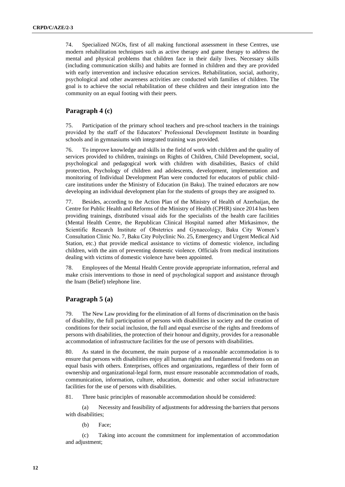74. Specialized NGOs, first of all making functional assessment in these Centres, use modern rehabilitation techniques such as active therapy and game therapy to address the mental and physical problems that children face in their daily lives. Necessary skills (including communication skills) and habits are formed in children and they are provided with early intervention and inclusive education services. Rehabilitation, social, authority, psychological and other awareness activities are conducted with families of children. The goal is to achieve the social rehabilitation of these children and their integration into the community on an equal footing with their peers.

## **Paragraph 4 (c)**

75. Participation of the primary school teachers and pre-school teachers in the trainings provided by the staff of the Educators' Professional Development Institute in boarding schools and in gymnasiums with integrated training was provided.

76. To improve knowledge and skills in the field of work with children and the quality of services provided to children, trainings on Rights of Children, Child Development, social, psychological and pedagogical work with children with disabilities, Basics of child protection, Psychology of children and adolescents, development, implementation and monitoring of Individual Development Plan were conducted for educators of public childcare institutions under the Ministry of Education (in Baku). The trained educators are now developing an individual development plan for the students of groups they are assigned to.

77. Besides, according to the Action Plan of the Ministry of Health of Azerbaijan, the Centre for Public Health and Reforms of the Ministry of Health (CPHR) since 2014 has been providing trainings, distributed visual aids for the specialists of the health care facilities (Mental Health Centre, the Republican Clinical Hospital named after Mirkasimov, the Scientific Research Institute of Obstetrics and Gynaecology, Baku City Women's Consultation Clinic No. 7, Baku City Polyclinic No. 25, Emergency and Urgent Medical Aid Station, etc.) that provide medical assistance to victims of domestic violence, including children, with the aim of preventing domestic violence. Officials from medical institutions dealing with victims of domestic violence have been appointed.

78. Employees of the Mental Health Centre provide appropriate information, referral and make crisis interventions to those in need of psychological support and assistance through the Inam (Belief) telephone line.

#### **Paragraph 5 (a)**

79. The New Law providing for the elimination of all forms of discrimination on the basis of disability, the full participation of persons with disabilities in society and the creation of conditions for their social inclusion, the full and equal exercise of the rights and freedoms of persons with disabilities, the protection of their honour and dignity, provides for a reasonable accommodation of infrastructure facilities for the use of persons with disabilities.

80. As stated in the document, the main purpose of a reasonable accommodation is to ensure that persons with disabilities enjoy all human rights and fundamental freedoms on an equal basis with others. Enterprises, offices and organizations, regardless of their form of ownership and organizational-legal form, must ensure reasonable accommodation of roads, communication, information, culture, education, domestic and other social infrastructure facilities for the use of persons with disabilities.

81. Three basic principles of reasonable accommodation should be considered:

(a) Necessity and feasibility of adjustments for addressing the barriers that persons with disabilities;

(b) Face;

(c) Taking into account the commitment for implementation of accommodation and adjustment;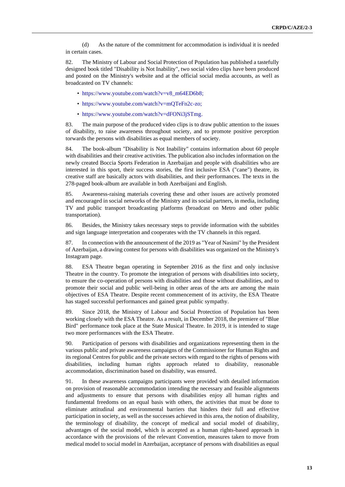(d) As the nature of the commitment for accommodation is individual it is needed in certain cases.

82. The Ministry of Labour and Social Protection of Population has published a tastefully designed book titled "Disability is Not Inability", two social video clips have been produced and posted on the Ministry's website and at the official social media accounts, as well as broadcasted on TV channels:

- [https://www.youtube.com/watch?v=v8\\_m64ED6b8;](https://www.youtube.com/watch?v=v8_m64ED6b8)
- [https://www.youtube.com/watch?v=mQTeFn2c-zo;](https://www.youtube.com/watch?v=mQTeFn2c-zo)
- [https://www.youtube.com/watch?v=dFONi3jSTmg.](https://www.youtube.com/watch?v=dFONi3jSTmg)

83. The main purpose of the produced video clips is to draw public attention to the issues of disability, to raise awareness throughout society, and to promote positive perception torwards the persons with disabilities as equal members of society.

84. The book-album "Disability is Not Inability" contains information about 60 people with disabilities and their creative activities. The publication also includes information on the newly created Boccia Sports Federation in Azerbaijan and people with disabilities who are interested in this sport, their success stories, the first inclusive ESA ("cane") theatre, its creative staff are basically actors with disabilities, and their performances. The texts in the 278-paged book-album are available in both Azerbaijani and English.

85. Awareness-raising materials covering these and other issues are actively promoted and encouraged in social networks of the Ministry and its social partners, in media, including TV and public transport broadcasting platforms (broadcast on Metro and other public transportation).

86. Besides, the Ministry takes necessary steps to provide information with the subtitles and sign language interpretation and cooperates with the TV channels in this regard.

87. In connection with the announcement of the 2019 as "Year of Nasimi" by the President of Azerbaijan, a drawing contest for persons with disabilities was organized on the Ministry's Instagram page.

88. ESA Theatre began operating in September 2016 as the first and only inclusive Theatre in the country. To promote the integration of persons with disabilities into society, to ensure the co-operation of persons with disabilities and those without disabilities, and to promote their social and public well-being in other areas of the arts are among the main objectives of ESA Theatre. Despite recent commencement of its activity, the ESA Theatre has staged successful performances and gained great public sympathy.

89. Since 2018, the Ministry of Labour and Social Protection of Population has been working closely with the ESA Theatre. As a result, in December 2018, the premiere of "Blue Bird" performance took place at the State Musical Theatre. In 2019, it is intended to stage two more performances with the ESA Theatre.

90. Participation of persons with disabilities and organizations representing them in the various public and private awareness campaigns of the Commissioner for Human Rights and its regional Centres for public and the private sectors with regard to the rights of persons with disabilities, including human rights approach related to disability, reasonable accommodation, discrimination based on disability, was ensured.

91. In these awareness campaigns participants were provided with detailed information on provision of reasonable accommodation intending the necessary and feasible alignments and adjustments to ensure that persons with disabilities enjoy all human rights and fundamental freedoms on an equal basis with others, the activities that must be done to eliminate attitudinal and environmental barriers that hinders their full and effective participation in society, as well as the successes achieved in this area, the notion of disability, the terminology of disability, the concept of medical and social model of disability, advantages of the social model, which is accepted as a human rights-based approach in accordance with the provisions of the relevant Convention, measures taken to move from medical model to social model in Azerbaijan, acceptance of persons with disabilities as equal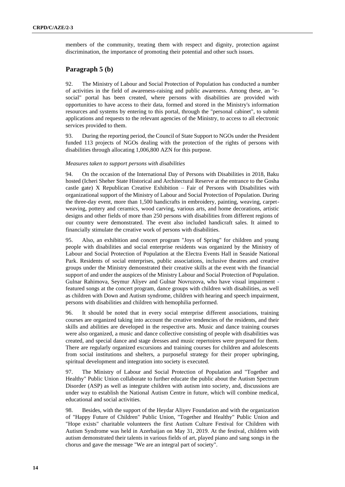members of the community, treating them with respect and dignity, protection against discrimination, the importance of promoting their potential and other such issues.

## **Paragraph 5 (b)**

92. The Ministry of Labour and Social Protection of Population has conducted a number of activities in the field of awareness-raising and public awareness. Among these, an "esocial" portal has been created, where persons with disabilities are provided with opportunities to have access to their data, formed and stored in the Ministry's information resources and systems by entering to this portal, through the "personal cabinet", to submit applications and requests to the relevant agencies of the Ministry, to access to all electronic services provided to them.

93. During the reporting period, the Council of State Support to NGOs under the President funded 113 projects of NGOs dealing with the protection of the rights of persons with disabilities through allocating 1,006,800 AZN for this purpose.

#### *Measures taken to support persons with disabilities*

94. On the occasion of the International Day of Persons with Disabilities in 2018, Baku hosted (Icheri Sheher State Historical and Architectural Reserve at the entrance to the Gosha castle gate) X Republican Creative Exhibition – Fair of Persons with Disabilities with organizational support of the Ministry of Labour and Social Protection of Population. During the three-day event, more than 1,500 handicrafts in embroidery, painting, weaving, carpetweaving, pottery and ceramics, wood carving, various arts, and home decorations, artistic designs and other fields of more than 250 persons with disabilities from different regions of our country were demonstrated. The event also included handicraft sales. It aimed to financially stimulate the creative work of persons with disabilities.

95. Also, an exhibition and concert program "Joys of Spring" for children and young people with disabilities and social enterprise residents was organized by the Ministry of Labour and Social Protection of Population at the Electra Events Hall in Seaside National Park. Residents of social enterprises, public associations, inclusive theatres and creative groups under the Ministry demonstrated their creative skills at the event with the financial support of and under the auspices of the Ministry Labour and Social Protection of Population. Gulnar Rahimova, Seymur Aliyev and Gulnar Novruzova, who have visual impairment featured songs at the concert program, dance groups with children with disabilities, as well as children with Down and Autism syndrome, children with hearing and speech impairment, persons with disabilities and children with hemophilia performed.

96. It should be noted that in every social enterprise different associations, training courses are organized taking into account the creative tendencies of the residents, and their skills and abilities are developed in the respective arts. Music and dance training courses were also organized, a music and dance collective consisting of people with disabilities was created, and special dance and stage dresses and music repertoires were prepared for them. There are regularly organized excursions and training courses for children and adolescents from social institutions and shelters, a purposeful strategy for their proper upbringing, spiritual development and integration into society is executed.

97. The Ministry of Labour and Social Protection of Population and "Together and Healthy" Public Union collaborate to further educate the public about the Autism Spectrum Disorder (ASP) as well as integrate children with autism into society, and, discussions are under way to establish the National Autism Centre in future, which will combine medical, educational and social activities.

98. Besides, with the support of the Heydar Aliyev Foundation and with the organization of "Happy Future of Children" Public Union, "Together and Healthy" Public Union and "Hope exists" charitable volunteers the first Autism Culture Festival for Children with Autism Syndrome was held in Azerbaijan on May 31, 2019. At the festival, children with autism demonstrated their talents in various fields of art, played piano and sang songs in the chorus and gave the message "We are an integral part of society".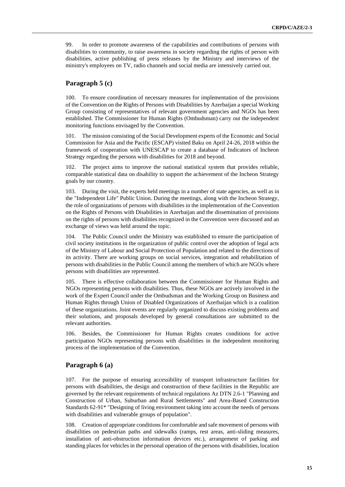99. In order to promote awareness of the capabilities and contributions of persons with disabilities to community, to raise awareness in society regarding the rights of person with disabilities, active publishing of press releases by the Ministry and interviews of the ministry's employees on TV, radio channels and social media are intensively carried out.

### **Paragraph 5 (c)**

100. To ensure coordination of necessary measures for implementation of the provisions of the Convention on the Rights of Persons with Disabilities by Azerbaijan a special Working Group consisting of representatives of relevant government agencies and NGOs has been established. The Commissioner for Human Rights (Ombudsman) carry out the independent monitoring functions envisaged by the Convention.

The mission consisting of the Social Development experts of the Economic and Social Commission for Asia and the Pacific (ESCAP) visited Baku on April 24-26, 2018 within the framework of cooperation with UNESCAP to create a database of Indicators of Incheon Strategy regarding the persons with disabilities for 2018 and beyond.

102. The project aims to improve the national statistical system that provides reliable, comparable statistical data on disability to support the achievement of the Incheon Strategy goals by our country.

103. During the visit, the experts held meetings in a number of state agencies, as well as in the "Independent Life" Public Union. During the meetings, along with the Incheon Strategy, the role of organizations of persons with disabilities in the implementation of the Convention on the Rights of Persons with Disabilities in Azerbaijan and the dissemination of provisions on the rights of persons with disabilities recognized in the Convention were discussed and an exchange of views was held around the topic.

104. The Public Council under the Ministry was established to ensure the participation of civil society institutions in the organization of public control over the adoption of legal acts of the Ministry of Labour and Social Protection of Population and related to the directions of its activity. There are working groups on social services, integration and rehabilitation of persons with disabilities in the Public Council among the members of which are NGOs where persons with disabilities are represented.

105. There is effective collaboration between the Commissioner for Human Rights and NGOs representing persons with disabilities. Thus, these NGOs are actively involved in the work of the Expert Council under the Ombudsman and the Working Group on Business and Human Rights through Union of Disabled Organizations of Azerbaijan which is a coalition of these organizations. Joint events are regularly organized to discuss existing problems and their solutions, and proposals developed by general consultations are submitted to the relevant authorities.

106. Besides, the Commissioner for Human Rights creates conditions for active participation NGOs representing persons with disabilities in the independent monitoring process of the implementation of the Convention.

### **Paragraph 6 (a)**

107. For the purpose of ensuring accessibility of transport infrastructure facilities for persons with disabilities, the design and construction of these facilities in the Republic are governed by the relevant requirements of technical regulations Az DTN 2.6-1 "Planning and Construction of Urban, Suburban and Rural Settlements" and Area-Based Construction Standards 62-91\* "Designing of living environment taking into account the needs of persons with disabilities and vulnerable groups of population".

108. Creation of appropriate conditions for comfortable and safe movement of persons with disabilities on pedestrian paths and sidewalks (ramps, rest areas, anti-sliding measures, installation of anti-obstruction information devices etc.), arrangement of parking and standing places for vehicles in the personal operation of the persons with disabilities, location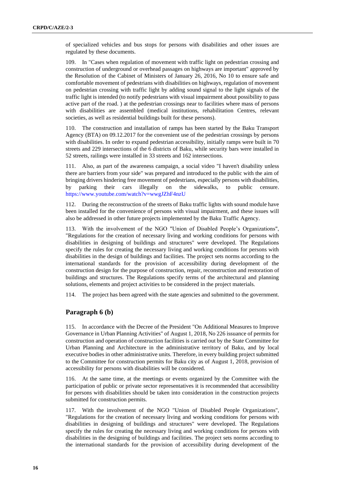of specialized vehicles and bus stops for persons with disabilities and other issues are regulated by these documents.

109. In "Cases when regulation of movement with traffic light on pedestrian crossing and construction of underground or overhead passages on highways are important" approved by the Resolution of the Cabinet of Ministers of January 26, 2016, No 10 to ensure safe and comfortable movement of pedestrians with disabilities on highways, regulation of movement on pedestrian crossing with traffic light by adding sound signal to the light signals of the traffic light is intended (to notify pedestrians with visual impairment about possibility to pass active part of the road. ) at the pedestrian crossings near to facilities where mass of persons with disabilities are assembled (medical institutions, rehabilitation Centres, relevant societies, as well as residential buildings built for these persons).

110. The construction and installation of ramps has been started by the Baku Transport Agency (BTA) on 09.12.2017 for the convenient use of the pedestrian crossings by persons with disabilities. In order to expand pedestrian accessibility, initially ramps were built in 70 streets and 229 intersections of the 6 districts of Baku, while security bars were installed in 52 streets, railings were installed in 33 streets and 162 intersections.

111. Also, as part of the awareness campaign, a social video "I haven't disability unless there are barriers from your side" was prepared and introduced to the public with the aim of bringing drivers hindering free movement of pedestrians, especially persons with disabilities, by parking their cars illegally on the sidewalks, to public censure. <https://www.youtube.com/watch?v=wwgJZhF4nzU>

112. During the reconstruction of the streets of Baku traffic lights with sound module have been installed for the convenience of persons with visual impairment, and these issues will also be addressed in other future projects implemented by the Baku Traffic Agency.

With the involvement of the NGO "Union of Disabled People's Organizations", "Regulations for the creation of necessary living and working conditions for persons with disabilities in designing of buildings and structures" were developed. The Regulations specify the rules for creating the necessary living and working conditions for persons with disabilities in the design of buildings and facilities. The project sets norms according to the international standards for the provision of accessibility during development of the construction design for the purpose of construction, repair, reconstruction and restoration of buildings and structures. The Regulations specify terms of the architectural and planning solutions, elements and project activities to be considered in the project materials.

114. The project has been agreed with the state agencies and submitted to the government.

### **Paragraph 6 (b)**

115. In accordance with the Decree of the President "On Additional Measures to Improve Governance in Urban Planning Activities" of August 1, 2018, No 226 issuance of permits for construction and operation of construction facilities is carried out by the State Committee for Urban Planning and Architecture in the administrative territory of Baku, and by local executive bodies in other administrative units. Therefore, in every building project submitted to the Committee for construction permits for Baku city as of August 1, 2018, provision of accessibility for persons with disabilities will be considered.

116. At the same time, at the meetings or events organized by the Committee with the participation of public or private sector representatives it is recommended that accessibility for persons with disabilities should be taken into consideration in the construction projects submitted for construction permits.

117. With the involvement of the NGO "Union of Disabled People Organizations", "Regulations for the creation of necessary living and working conditions for persons with disabilities in designing of buildings and structures" were developed. The Regulations specify the rules for creating the necessary living and working conditions for persons with disabilities in the designing of buildings and facilities. The project sets norms according to the international standards for the provision of accessibility during development of the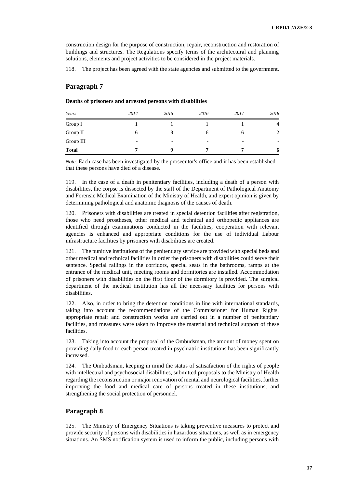construction design for the purpose of construction, repair, reconstruction and restoration of buildings and structures. The Regulations specify terms of the architectural and planning solutions, elements and project activities to be considered in the project materials.

118. The project has been agreed with the state agencies and submitted to the government.

### **Paragraph 7**

|  | Deaths of prisoners and arrested persons with disabilities |  |  |  |  |
|--|------------------------------------------------------------|--|--|--|--|
|--|------------------------------------------------------------|--|--|--|--|

| Years        | 2014                     | 2015                     | 2016                     | 2017                     | 2018           |
|--------------|--------------------------|--------------------------|--------------------------|--------------------------|----------------|
| Group I      |                          |                          |                          |                          | $\overline{4}$ |
| Group II     | 6                        | 8                        | <sub>6</sub>             | 6                        | 2              |
| Group III    | $\overline{\phantom{0}}$ | $\overline{\phantom{0}}$ | $\overline{\phantom{0}}$ | $\overline{\phantom{a}}$ | -              |
| <b>Total</b> | 7                        | Q                        |                          | 7                        | 6              |

*Note*: Each case has been investigated by the prosecutor's office and it has been established that these persons have died of a disease.

119. In the case of a death in penitentiary facilities, including a death of a person with disabilities, the corpse is dissected by the staff of the Department of Pathological Anatomy and Forensic Medical Examination of the Ministry of Health, and expert opinion is given by determining pathological and anatomic diagnosis of the causes of death.

120. Prisoners with disabilities are treated in special detention facilities after registration, those who need prostheses, other medical and technical and orthopedic appliances are identified through examinations conducted in the facilities, cooperation with relevant agencies is enhanced and appropriate conditions for the use of individual Labour infrastructure facilities by prisoners with disabilities are created.

121. The punitive institutions of the penitentiary service are provided with special beds and other medical and technical facilities in order the prisoners with disabilities could serve their sentence. Special railings in the corridors, special seats in the bathrooms, ramps at the entrance of the medical unit, meeting rooms and dormitories are installed. Accommodation of prisoners with disabilities on the first floor of the dormitory is provided. The surgical department of the medical institution has all the necessary facilities for persons with disabilities.

122. Also, in order to bring the detention conditions in line with international standards, taking into account the recommendations of the Commissioner for Human Rights, appropriate repair and construction works are carried out in a number of penitentiary facilities, and measures were taken to improve the material and technical support of these facilities.

123. Taking into account the proposal of the Ombudsman, the amount of money spent on providing daily food to each person treated in psychiatric institutions has been significantly increased.

124. The Ombudsman, keeping in mind the status of satisafaction of the rights of people with intellectual and psychosocial disabilities, submitted proposals to the Ministry of Health regarding the reconstruction or major renovation of mental and neurological facilities, further improving the food and medical care of persons treated in these institutions, and strengthening the social protection of personnel.

#### **Paragraph 8**

125. The Ministry of Emergency Situations is taking preventive measures to protect and provide security of persons with disabilities in hazardous situations, as well as in emergency situations. An SMS notification system is used to inform the public, including persons with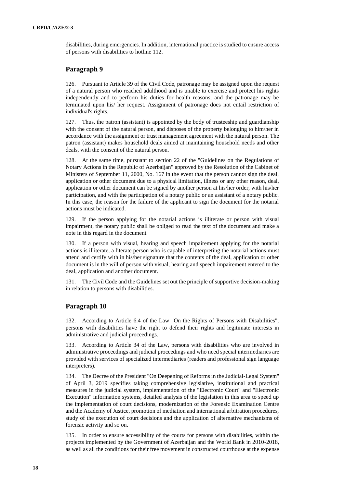disabilities, during emergencies. In addition, international practice is studied to ensure access of persons with disabilities to hotline 112.

## **Paragraph 9**

126. Pursuant to Article 39 of the Civil Code, patronage may be assigned upon the request of a natural person who reached adulthood and is unable to exercise and protect his rights independently and to perform his duties for health reasons, and the patronage may be terminated upon his/ her request. Assignment of patronage does not entail restriction of individual's rights.

127. Thus, the patron (assistant) is appointed by the body of trusteeship and guardianship with the consent of the natural person, and disposes of the property belonging to him/her in accordance with the assignment or trust management agreement with the natural person. The patron (assistant) makes household deals aimed at maintaining household needs and other deals, with the consent of the natural person.

128. At the same time, pursuant to section 22 of the "Guidelines on the Regulations of Notary Actions in the Republic of Azerbaijan" approved by the Resolution of the Cabinet of Ministers of September 11, 2000, No. 167 in the event that the person cannot sign the deal, application or other document due to a physical limitation, illness or any other reason, deal, application or other document can be signed by another person at his/her order, with his/her participation, and with the participation of a notary public or an assistant of a notary public. In this case, the reason for the failure of the applicant to sign the document for the notarial actions must be indicated.

129. If the person applying for the notarial actions is illiterate or person with visual impairment, the notary public shall be obliged to read the text of the document and make a note in this regard in the document.

130. If a person with visual, hearing and speech impairement applying for the notarial actions is illiterate, a literate person who is capable of interpreting the notarial actions must attend and certify with in his/her signature that the contents of the deal, application or other document is in the will of person with visual, hearing and speech impairement entered to the deal, application and another document.

131. The Civil Code and the Guidelines set out the principle of supportive decision-making in relation to persons with disabilities.

## **Paragraph 10**

132. According to Article 6.4 of the Law "On the Rights of Persons with Disabilities", persons with disabilities have the right to defend their rights and legitimate interests in administrative and judicial proceedings.

133. According to Article 34 of the Law, persons with disabilities who are involved in administrative proceedings and judicial proceedings and who need special intermediaries are provided with services of specialized intermediaries (readers and professional sign language interpreters).

134. The Decree of the President "On Deepening of Reforms in the Judicial-Legal System" of April 3, 2019 specifies taking comprehensive legislative, institutional and practical measures in the judicial system, implementation of the "Electronic Court" and "Electronic Execution" information systems, detailed analysis of the legislation in this area to speed up the implementation of court decisions, modernization of the Forensic Examination Centre and the Academy of Justice, promotion of mediation and international arbitration procedures, study of the execution of court decisions and the application of alternative mechanisms of forensic activity and so on.

135. In order to ensure accessibility of the courts for persons with disabilities, within the projects implemented by the Government of Azerbaijan and the World Bank in 2010-2018, as well as all the conditions for their free movement in constructed courthouse at the expense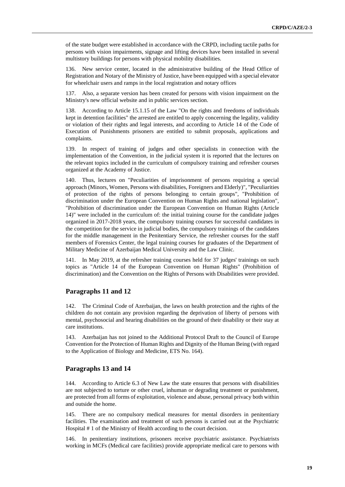of the state budget were established in accordance with the CRPD, including tactile paths for persons with vision impairments, signage and lifting devices have been installed in several multistory buildings for persons with physical mobility disabilities.

136. New service center, located in the administrative building of the Head Office of Registration and Notary of the Ministry of Justice, have been equipped with a special elevator for wheelchair users and ramps in the local registration and notary offices

137. Also, a separate version has been created for persons with vision impairment on the Ministry's new official website and in public services section.

138. According to Article 15.1.15 of the Law "On the rights and freedoms of individuals kept in detention facilities" the arrested are entitled to apply concerning the legality, validity or violation of their rights and legal interests, and according to Article 14 of the Code of Execution of Punishments prisoners are entitled to submit proposals, applications and complaints.

139. In respect of training of judges and other specialists in connection with the implementation of the Convention, in the judicial system it is reported that the lectures on the relevant topics included in the curriculum of compulsory training and refresher courses organized at the Academy of Justice.

140. Thus, lectures on "Peculiarities of imprisonment of persons requiring a special approach (Minors, Women, Persons with disabilities, Foreigners and Elderly)", "Peculiarities of protection of the rights of persons belonging to certain groups", "Prohibition of discrimination under the European Convention on Human Rights and national legislation", "Prohibition of discrimination under the European Convention on Human Rights (Article 14)" were included in the curriculum of: the initial training course for the candidate judges organized in 2017-2018 years, the compulsory training courses for successful candidates in the competition for the service in judicial bodies, the compulsory trainings of the candidates for the middle management in the Penitentiary Service, the refresher courses for the staff members of Forensics Center, the legal training courses for graduates of the Department of Military Medicine of Azerbaijan Medical University and the Law Clinic.

141. In May 2019, at the refresher training courses held for 37 judges' trainings on such topics as "Article 14 of the European Convention on Human Rights" (Prohibition of discrimination) and the Convention on the Rights of Persons with Disabilities were provided.

#### **Paragraphs 11 and 12**

142. The Criminal Code of Azerbaijan, the laws on health protection and the rights of the children do not contain any provision regarding the deprivation of liberty of persons with mental, psychosocial and hearing disabilities on the ground of their disability or their stay at care institutions.

143. Azerbaijan has not joined to the Additional Protocol Draft to the Council of Europe Convention for the Protection of Human Rights and Dignity of the Human Being (with regard to the Application of Biology and Medicine, ETS No. 164).

#### **Paragraphs 13 and 14**

144. According to Article 6.3 of New Law the state ensures that persons with disabilities are not subjected to torture or other cruel, inhuman or degrading treatment or punishment, are protected from all forms of exploitation, violence and abuse, personal privacy both within and outside the home.

145. There are no compulsory medical measures for mental disorders in penitentiary facilities. The examination and treatment of such persons is carried out at the Psychiatric Hospital # 1 of the Ministry of Health according to the court decision.

146. In penitentiary institutions, prisoners receive psychiatric assistance. Psychiatrists working in MCFs (Medical care facilities) provide appropriate medical care to persons with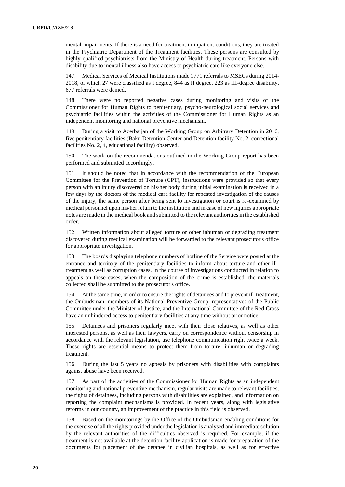mental impairments. If there is a need for treatment in inpatient conditions, they are treated in the Psychiatric Department of the Treatment facilities. These persons are consulted by highly qualified psychiatrists from the Ministry of Health during treatment. Persons with disability due to mental illness also have access to psychiatric care like everyone else.

147. Medical Services of Medical Institutions made 1771 referrals to MSECs during 2014- 2018, of which 27 were classified as I degree, 844 as II degree, 223 as III-degree disability. 677 referrals were denied.

148. There were no reported negative cases during monitoring and visits of the Commissioner for Human Rights to penitentiary, psycho-neurological social services and psychiatric facilities within the activities of the Commissioner for Human Rights as an independent monitoring and national preventive mechanism.

149. During a visit to Azerbaijan of the Working Group on Arbitrary Detention in 2016, five penitentiary facilities (Baku Detention Center and Detention facility No. 2, correctional facilities No. 2, 4, educational facility) observed.

150. The work on the recommendations outlined in the Working Group report has been performed and submitted accordingly.

151. It should be noted that in accordance with the recommendation of the European Committee for the Prevention of Torture (CPT), instructions were provided so that every person with an injury discovered on his/her body during initial examination is received in a few days by the doctors of the medical care facility for repeated investigation of the causes of the injury, the same person after being sent to investigation or court is re-examined by medical personnel upon his/her return to the institution and in case of new injuries appropriate notes are made in the medical book and submitted to the relevant authorities in the established order.

152. Written information about alleged torture or other inhuman or degrading treatment discovered during medical examination will be forwarded to the relevant prosecutor's office for appropriate investigation.

153. The boards displaying telephone numbers of hotline of the Service were posted at the entrance and territory of the penitentiary facilities to inform about torture and other illtreatment as well as corruption cases. In the course of investigations conducted in relation to appeals on these cases, when the composition of the crime is established, the materials collected shall be submitted to the prosecutor's office.

154. At the same time, in order to ensure the rights of detainees and to prevent ill-treatment, the Ombudsman, members of its National Preventive Group, representatives of the Public Committee under the Minister of Justice, and the International Committee of the Red Cross have an unhindered access to penitentiary facilities at any time without prior notice.

155. Detainees and prisoners regularly meet with their close relatives, as well as other interested persons, as well as their lawyers, carry on correspondence without censorship in accordance with the relevant legislation, use telephone communication right twice a week. These rights are essential means to protect them from torture, inhuman or degrading treatment.

156. During the last 5 years no appeals by prisoners with disabilities with complaints against abuse have been received.

157. As part of the activities of the Commissioner for Human Rights as an independent monitoring and national preventive mechanism, regular visits are made to relevant facilities, the rights of detainees, including persons with disabilities are explained, and information on reporting the complaint mechanisms is provided. In recent years, along with legislative reforms in our country, an improvement of the practice in this field is observed.

158. Based on the monitorings by the Office of the Ombudsman enabling conditions for the exercise of all the rights provided under the legislation is analysed and immediate solution by the relevant authorities of the difficulties observed is required. For example, if the treatment is not available at the detention facility application is made for preparation of the documents for placement of the detanee in civilian hospitals, as well as for effective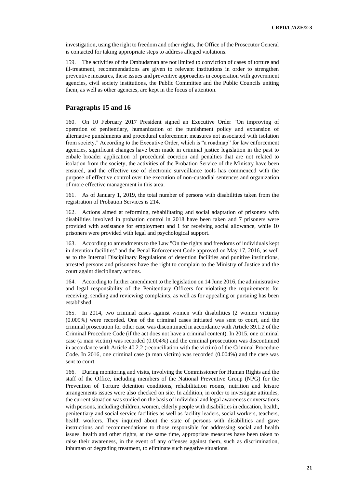investigation, using the right to freedom and other rights, the Office of the Prosecutor General is contacted for taking appropriate steps to address alleged violations.

159. The activities of the Ombudsman are not limited to conviction of cases of torture and ill-treatment, recommendations are given to relevant institutions in order to strengthen preventive measures, these issues and preventive approaches in cooperation with government agencies, civil society institutions, the Public Committee and the Public Councils uniting them, as well as other agencies, are kept in the focus of attention.

### **Paragraphs 15 and 16**

160. On 10 February 2017 President signed an Executive Order "On improving of operation of penitentiary, humanization of the punishment policy and expansion of alternative punishments and procedural enforcement measures not associated with isolation from society." According to the Executive Order, which is "a roadmap" for law enforcement agencies, significant changes have been made in criminal justice legislation in the past to enbale broader application of procedural coercion and penalties that are not related to isolation from the society, the activities of the Probation Service of the Ministry have been ensured, and the effective use of electronic surveillance tools has commenced with the purpose of effective control over the execution of non-custodial sentences and organization of more effective management in this area.

161. As of January 1, 2019, the total number of persons with disabilities taken from the registration of Probation Services is 214.

162. Actions aimed at reforming, rehabilitating and social adaptation of prisoners with disabilities involved in probation control in 2018 have been taken and 7 prisoners were provided with assistance for employment and 1 for receiving social allowance, while 10 prisoners were provided with legal and psychological support.

163. According to amendments to the Law "On the rights and freedoms of individuals kept in detention facilities" and the Penal Enforcement Code approved on May 17, 2016, as well as to the Internal Disciplinary Regulations of detention facilities and punitive institutions, arrested persons and prisoners have the right to complain to the Ministry of Justice and the court againt disciplinary actions.

164. According to further amendment to the legislation on 14 June 2016, the administrative and legal responsibility of the Penitentiary Officers for violating the requirements for receiving, sending and reviewing complaints, as well as for appealing or pursuing has been established.

165. In 2014, two criminal cases against women with disabilities (2 women victims) (0.009%) were recorded. One of the criminal cases initiated was sent to court, and the criminal prosecution for other case was discontinued in accordance with Article 39.1.2 of the Criminal Procedure Code (if the act does not have a criminal content). In 2015, one criminal case (a man victim) was recorded (0.004%) and the criminal prosecution was discontinued in accordance with Article 40.2.2 (reconciliation with the victim) of the Criminal Procedure Code. In 2016, one criminal case (a man victim) was recorded (0.004%) and the case was sent to court.

166. During monitoring and visits, involving the Commissioner for Human Rights and the staff of the Office, including members of the National Preventive Group (NPG) for the Prevention of Torture detention conditions, rehabilitation rooms, nutrition and leisure arrangements issues were also checked on site. In addition, in order to investigate attitudes, the current situation was studied on the basis of individual and legal awareness conversations with persons, including children, women, elderly people with disabilities in education, health, penitentiary and social service facilities as well as facility leaders, social workers, teachers, health workers. They inquired about the state of persons with disabilities and gave instructions and recommendations to those responsible for addressing social and health issues, health and other rights, at the same time, appropriate measures have been taken to raise their awareness, in the event of any offenses against them, such as discrimination, inhuman or degrading treatment, to eliminate such negative situations.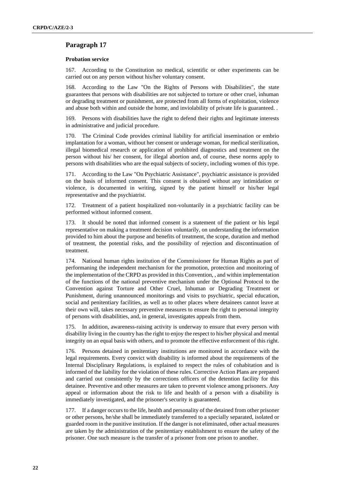## **Paragraph 17**

#### **Probation service**

167. According to the Constitution no medical, scientific or other experiments can be carried out on any person without his/her voluntary consent.

168. According to the Law "On the Rights of Persons with Disabilities", the state guarantees that persons with disabilities are not subjected to torture or other cruel, inhuman or degrading treatment or punishment, are protected from all forms of exploitation, violence and abuse both within and outside the home, and inviolability of private life is guaranteed. .

169. Persons with disabilities have the right to defend their rights and legitimate interests in administrative and judicial procedure.

170. The Criminal Code provides criminal liability for artificial insemination or embrio implantation for a woman, without her consent or underage woman, for medical sterilization, illegal biomedical research or application of prohibited diagnostics and treatment on the person without his/ her consent, for illegal abortion and, of course, these norms apply to persons with disabilities who are the equal subjects of society, including women of this type.

171. According to the Law "On Psychiatric Assistance", psychiatric assistance is provided on the basis of informed consent. This consent is obtained without any intimidation or violence, is documented in writing, signed by the patient himself or his/her legal representative and the psychiatrist.

172. Treatment of a patient hospitalized non-voluntarily in a psychiatric facility can be performed without informed consent.

173. It should be noted that informed consent is a statement of the patient or his legal representative on making a treatment decision voluntarily, on understanding the information provided to him about the purpose and benefits of treatment, the scope, duration and method of treatment, the potential risks, and the possibility of rejection and discontinuation of treatment.

174. National human rights institution of the Commissioner for Human Rights as part of performaning the independent mechanism for the promotion, protection and monitoring of the implementation of the CRPD as provided in this Convention, , and within implementation of the functions of the national preventive mechanism under the Optional Protocol to the Convention against Torture and Other Cruel, Inhuman or Degrading Treatment or Punishment, during unannounced monitorings and visits to psychiatric, special education, social and penitentiary facilities, as well as to other places where detainees cannot leave at their own will, takes necessary preventive measures to ensure the right to personal integrity of persons with disabilities, and, in general, investigates appeals from them.

175. In addition, awareness-raising activity is underway to ensure that every person with disability living in the country has the right to enjoy the respect to his/her physical and mental integrity on an equal basis with others, and to promote the effective enforcement of this right.

176. Persons detained in penitentiary institutions are monitored in accordance with the legal requirements. Every convict with disability is informed about the requirements of the Internal Disciplinary Regulations, is explained to respect the rules of cohabitation and is informed of the liability for the violation of these rules. Corrective Action Plans are prepared and carried out consistently by the corrections officers of the detention facility for this detainee. Preventive and other measures are taken to prevent violence among prisoners. Any appeal or information about the risk to life and health of a person with a disability is immediately investigated, and the prisoner's security is guaranteed.

177. If a danger occurs to the life, health and personality of the detained from other prisoner or other persons, he/she shall be immediately transferred to a specially separated, isolated or guarded room in the punitive institution. If the danger is not eliminated, other actual measures are taken by the administration of the penitentiary establishment to ensure the safety of the prisoner. One such measure is the transfer of a prisoner from one prison to another.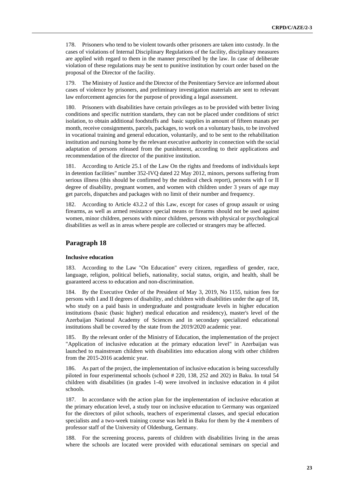178. Prisoners who tend to be violent towards other prisoners are taken into custody. In the cases of violations of Internal Disciplinary Regulations of the facility, disciplinary measures are applied with regard to them in the manner prescribed by the law. In case of deliberate violation of these regulations may be sent to punitive institution by court order based on the proposal of the Director of the facility.

179. The Ministry of Justice and the Director of the Penitentiary Service are informed about cases of violence by prisoners, and preliminary investigation materials are sent to relevant law enforcement agencies for the purpose of providing a legal assessment.

180. Prisoners with disabilities have certain privileges as to be provided with better living conditions and specific nutrition standarts, they can not be placed under conditions of strict isolation, to obtain additional foodstuffs and basic supplies in amount of fifteen manats per month, receive consignments, parcels, packages, to work on a voluntary basis, to be involved in vocational training and general education, voluntarily, and to be sent to the rehabilitation institution and nursing home by the relevant executive authority in connection with the social adaptation of persons released from the punishment, according to their applications and recommendation of the director of the punitive institution.

181. According to Article 25.1 of the Law On the rights and freedoms of individuals kept in detention facilities" number 352-IVQ dated 22 May 2012, minors, persons suffering from serious illness (this should be confirmed by the medical check report), persons with I or II degree of disability, pregnant women, and women with children under 3 years of age may get parcels, dispatches and packages with no limit of their number and frequency.

182. According to Article 43.2.2 of this Law, except for cases of group assault or using firearms, as well as armed resistance special means or firearms should not be used against women, minor children, persons with minor children, persons with physical or psychological disabilities as well as in areas where people are collected or strangers may be affected.

### **Paragraph 18**

#### **Inclusive education**

According to the Law "On Education" every citizen, regardless of gender, race, language, religion, political beliefs, nationality, social status, origin, and health, shall be guaranteed access to education and non-discrimination.

184. By the Executive Order of the President of May 3, 2019, No 1155, tuition fees for persons with I and II degrees of disability, and children with disabilities under the age of 18, who study on a paid basis in undergraduate and postgraduate levels in higher education institutions (basic (basic higher) medical education and residency), master's level of the Azerbaijan National Academy of Sciences and in secondary specialized educational institutions shall be covered by the state from the 2019/2020 academic year.

185. By the relevant order of the Ministry of Education, the implementation of the project "Application of inclusive education at the primary education level" in Azerbaijan was launched to mainstream children with disabilities into education along with other children from the 2015-2016 academic year.

186. As part of the project, the implementation of inclusive education is being successfully piloted in four experimental schools (school # 220, 138, 252 and 202) in Baku. In total 54 children with disabilities (in grades 1-4) were involved in inclusive education in 4 pilot schools.

187. In accordance with the action plan for the implementation of inclusive education at the primary education level, a study tour on inclusive education to Germany was organized for the directors of pilot schools, teachers of experimental classes, and special education specialists and a two-week training course was held in Baku for them by the 4 members of professor staff of the University of Oldenburg, Germany.

188. For the screening process, parents of children with disabilities living in the areas where the schools are located were provided with educational seminars on special and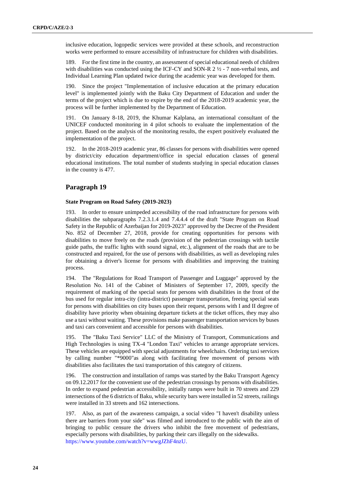inclusive education, logopedic services were provided at these schools, and reconstruction works were performed to ensure accessibility of infrastructure for children with disabilities.

189. For the first time in the country, an assessment of special educational needs of children with disabilities was conducted using the ICF-CY and SON-R  $2 \frac{1}{2}$  - 7 non-verbal tests, and Individual Learning Plan updated twice during the academic year was developed for them.

190. Since the project "Implementation of inclusive education at the primary education level" is implemented jointly with the Baku City Department of Education and under the terms of the project which is due to expire by the end of the 2018-2019 academic year, the process will be further implemented by the Department of Education.

191. On January 8-18, 2019, the Khumar Kalplana, an international consultant of the UNICEF conducted monitoring in 4 pilot schools to evaluate the implementation of the project. Based on the analysis of the monitoring results, the expert positively evaluated the implementation of the project.

192. In the 2018-2019 academic year, 86 classes for persons with disabilities were opened by district/city education department/office in special education classes of general educational institutions. The total number of students studying in special education classes in the country is 477.

## **Paragraph 19**

#### **State Program on Road Safety (2019-2023)**

193. In order to ensure unimpeded accessibility of the road infrastructure for persons with disabilities the subparagraphs 7.2.3.1.4 and 7.4.4.4 of the draft "State Program on Road Safety in the Republic of Azerbaijan for 2019-2023" approved by the Decree of the President No. 852 of December 27, 2018, provide for creating opportunities for persons with disabilities to move freely on the roads (provision of the pedestrian crossings with tactile guide paths, the traffic lights with sound signal, etc.), alignment of the roads that are to be constructed and repaired, for the use of persons with disabilities, as well as developing rules for obtaining a driver's license for persons with disabilities and improving the training process.

194. The "Regulations for Road Transport of Passenger and Luggage" approved by the Resolution No. 141 of the Cabinet of Ministers of September 17, 2009, specify the requirement of marking of the special seats for persons with disabilities in the front of the bus used for regular intra-city (intra-district) passenger transportation, freeing special seats for persons with disabilities on city buses upon their request, persons with I and II degree of disability have priority when obtaining departure tickets at the ticket offices, they may also use a taxi without waiting. These provisions make passenger transportation services by buses and taxi cars convenient and accessible for persons with disabilities.

The "Baku Taxi Service" LLC of the Ministry of Transport, Communications and High Technologies is using TX-4 "London Taxi" vehicles to arrange appropriate services. These vehicles are equipped with special adjustments for wheelchairs. Ordering taxi services by calling number "\*9000"as along with facilitating free movement of persons with disabilities also facilitates the taxi transportation of this category of citizens.

196. The construction and installation of ramps was started by the Baku Transport Agency on 09.12.2017 for the convenient use of the pedestrian crossings by persons with disabilities. In order to expand pedestrian accessibility, initially ramps were built in 70 streets and 229 intersections of the 6 districts of Baku, while security bars were installed in 52 streets, railings were installed in 33 streets and 162 intersections.

197. Also, as part of the awareness campaign, a social video "I haven't disability unless there are barriers from your side" was filmed and introduced to the public with the aim of bringing to public censure the drivers who inhibit the free movement of pedestrians, especially persons with disabilities, by parking their cars illegally on the sidewalks. [https://www.youtube.com/watch?v=wwgJZhF4nzU.](https://www.youtube.com/watch?v=wwgJZhF4nzU)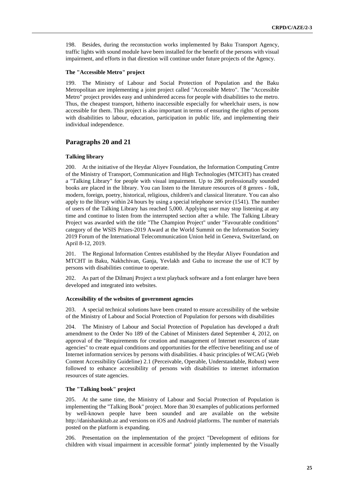198. Besides, during the reconstuction works implemented by Baku Transport Agency, traffic lights with sound module have been installed for the benefit of the persons with visual impairment, and efforts in that direstion will continue under future projects of the Agency.

#### **The "Accessible Metro" project**

199. The Ministry of Labour and Social Protection of Population and the Baku Metropolitan are implementing a joint project called "Accessible Metro". The "Accessible Metro" project provides easy and unhindered access for people with disabilities to the metro. Thus, the cheapest transport, hitherto inaccessible especially for wheelchair users, is now accessible for them. This project is also important in terms of ensuring the rights of persons with disabilities to labour, education, participation in public life, and implementing their individual independence.

### **Paragraphs 20 and 21**

#### **Talking library**

200. At the initiative of the Heydar Aliyev Foundation, the Information Computing Centre of the Ministry of Transport, Communication and High Technologies (MTCHT) has created a "Talking Library" for people with visual impairment. Up to 286 professionally sounded books are placed in the library. You can listen to the literature resources of 8 genres - folk, modern, foreign, poetry, historical, religious, children's and classical literature. You can also apply to the library within 24 hours by using a special telephone service (1541). The number of users of the Talking Library has reached 5,000. Applying user may stop listening at any time and continue to listen from the interrupted section after a while. The Talking Library Project was awarded with the title "The Champion Project" under "Favourable conditions" category of the WSIS Prizes-2019 Award at the World Summit on the Information Society 2019 Forum of the International Telecommunication Union held in Geneva, Switzerland, on April 8-12, 2019.

201. The Regional Information Centres established by the Heydar Aliyev Foundation and MTCHT in Baku, Nakhchivan, Ganja, Yevlakh and Guba to increase the use of ICT by persons with disabilities continue to operate.

202. As part of the Dilmanj Project a text playback software and a font enlarger have been developed and integrated into websites.

#### **Accessibility of the websites of government agencies**

203. A special technical solutions have been created to ensure accessibility of the website of the Ministry of Labour and Social Protection of Population for persons with disabilities

204. The Ministry of Labour and Social Protection of Population has developed a draft amendment to the Order No 189 of the Cabinet of Ministers dated September 4, 2012, on approval of the "Requirements for creation and management of Internet resources of state agencies" to create equal conditions and opportunities for the effective benefiting and use of Internet information services by persons with disabilities. 4 basic principles of WCAG (Web Content Accessibility Guideline) 2.1 (Perceivable, Operable, Understandable, Robust) were followed to enhance accessibility of persons with disabilities to internet information resources of state agencies.

#### **The "Talking book" project**

205. At the same time, the Ministry of Labour and Social Protection of Population is implementing the "Talking Book" project. More than 30 examples of publications performed by well-known people have been sounded and are available on the website [http://danishankitab.az](http://danishankitab.az/) and versions on iOS and Android platforms. The number of materials posted on the platform is expanding.

206. Presentation on the implementation of the project "Development of editions for children with visual impairment in accessible format" jointly implemented by the Visually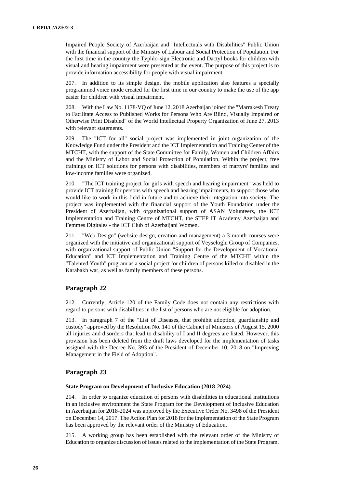Impaired People Society of Azerbaijan and "Intellectuals with Disabilities" Public Union with the financial support of the Ministry of Labour and Social Protection of Population. For the first time in the country the Typhlo-sign Electronic and Dactyl books for children with visual and hearing impairment were presented at the event. The purpose of this project is to provide information accessibility for people with visual impairment.

207. In addition to its simple design, the mobile application also features a specially programmed voice mode created for the first time in our country to make the use of the app easier for children with visual impairment.

208. With the Law No. 1178-VQ of June 12, 2018 Azerbaijan joined the "Marrakesh Treaty to Facilitate Access to Published Works for Persons Who Are Blind, Visually Impaired or Otherwise Print Disabled" of the World Intellectual Property Organization of June 27, 2013 with relevant statements.

209. The "ICT for all" social project was implemented in joint organization of the Knowledge Fund under the President and the ICT Implementation and Training Center of the MTCHT, with the support of the State Committee for Family, Women and Children Affairs and the Ministry of Labor and Social Protection of Population. Within the project, free trainings on ICT solutions for persons with disabilities, members of martyrs' families and low-income families were organized.

210. "The ICT training project for girls with speech and hearing impairment" was held to provide ICT training for persons with speech and hearing impairments, to support those who would like to work in this field in future and to achieve their integration into society. The project was implemented with the financial support of the Youth Foundation under the President of Azerbaijan, with organizational support of ASAN Volunteers, the ICT Implementation and Training Centre of MTCHT, the STEP IT Academy Azerbaijan and Femmes Digitales - the ICT Club of Azerbaijani Women.

211. "Web Design" (website design, creation and management) a 3-month courses were organized with the initiative and organizational support of Veyseloglu Group of Companies, with organizational support of Public Union "Support for the Development of Vocational Education" and ICT Implementation and Training Centre of the MTCHT within the "Talented Youth" program as a social project for children of persons killed or disabled in the Karabakh war, as well as family members of these persons.

## **Paragraph 22**

212. Currently, Article 120 of the Family Code does not contain any restrictions with regard to persons with disabilities in the list of persons who are not eligible for adoption.

213. In paragraph 7 of the "List of Diseases, that prohibit adoption, guardianship and custody" approved by the Resolution No. 141 of the Cabinet of Ministers of August 15, 2000 all injuries and disorders that lead to disability of I and II degrees are listed. However, this provision has been deleted from the draft laws developed for the implementation of tasks assigned with the Decree No. 393 of the President of December 10, 2018 on "Improving Management in the Field of Adoption".

### **Paragraph 23**

#### **State Program on Development of Inclusive Education (2018-2024)**

214. In order to organize education of persons with disabilities in educational institutions in an inclusive environment the State Program for the Development of Inclusive Education in Azerbaijan for 2018-2024 was approved by the Executive Order No. 3498 of the President on December 14, 2017. The Action Plan for 2018 for the implementation of the State Program has been approved by the relevant order of the Ministry of Education.

215. A working group has been established with the relevant order of the Ministry of Education to organize discussion of issues related to the implementation of the State Program,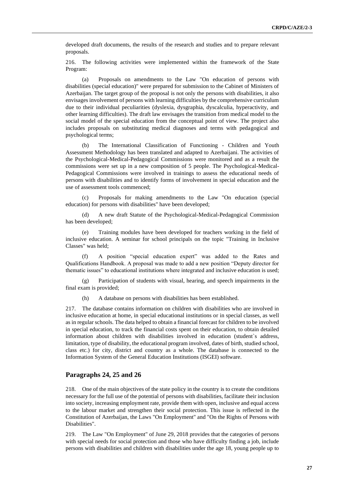developed draft documents, the results of the research and studies and to prepare relevant proposals.

216. The following activities were implemented within the framework of the State Program:

(a) Proposals on amendments to the Law "On education of persons with disabilities (special education)" were prepared for submission to the Cabinet of Ministers of Azerbaijan. The target group of the proposal is not only the persons with disabilities, it also envisages involvement of persons with learning difficulties by the comprehensive curriculum due to their individual peculiarities (dyslexia, dysgraphia, dyscalculia, hyperactivity, and other learning difficulties). The draft law envisages the transition from medical model to the social model of the special education from the conceptual point of view. The project also includes proposals on substituting medical diagnoses and terms with pedagogical and psychological terms;

(b) The International Classification of Functioning - Children and Youth Assessment Methodology has been translated and adapted to Azerbaijani. The activities of the Psychological-Medical-Pedagogical Commissions were monitored and as a result the commissions were set up in a new composition of 5 people. The Psychological-Medical-Pedagogical Commissions were involved in trainings to assess the educational needs of persons with disabilities and to identify forms of involvement in special education and the use of assessment tools commenced;

(c) Proposals for making amendments to the Law "On education (special education) for persons with disabilities" have been developed;

(d) A new draft Statute of the Psychological-Medical-Pedagogical Commission has been developed;

(e) Training modules have been developed for teachers working in the field of inclusive education. A seminar for school principals on the topic "Training in Inclusive Classes" was held;

(f) A position "special education expert" was added to the Rates and Qualifications Handbook. A proposal was made to add a new position "Deputy director for thematic issues" to educational institutions where integrated and inclusive education is used;

(g) Participation of students with visual, hearing, and speech impairments in the final exam is provided;

(h) A database on persons with disabilities has been established.

217. The database contains information on children with disabilities who are involved in inclusive education at home, in special educational institutions or in special classes, as well as in regular schools. The data helped to obtain a financial forecast for children to be involved in special education, to track the financial costs spent on their education, to obtain detailed information about children with disabilities involved in education (student`s address, limitation, type of disability, the educational program involved, dates of birth, studied school, class etc.) for city, district and country as a whole. The database is connected to the Information System of the General Education Institutions (ISGEI) software.

#### **Paragraphs 24, 25 and 26**

218. One of the main objectives of the state policy in the country is to create the conditions necessary for the full use of the potential of persons with disabilities, facilitate their inclusion into society, increasing employment rate, provide them with open, inclusive and equal access to the labour market and strengthen their social protection. This issue is reflected in the Constitution of Azerbaijan, the Laws "On Employment" and "On the Rights of Persons with Disabilities".

219. The Law "On Employment" of June 29, 2018 provides that the categories of persons with special needs for social protection and those who have difficulty finding a job, include persons with disabilities and children with disabilities under the age 18, young people up to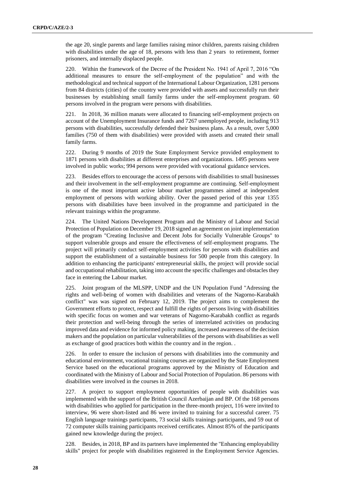the age 20, single parents and large families raising minor children, parents raising children with disabilities under the age of 18, persons with less than 2 years to retirement, former prisoners, and internally displaced people.

220. Within the framework of the Decree of the President No. 1941 of April 7, 2016 "On additional measures to ensure the self-employment of the population" and with the methodological and technical support of the International Labour Organization, 1281 persons from 84 districts (cities) of the country were provided with assets and successfully run their businesses by establishing small family farms under the self-employment program. 60 persons involved in the program were persons with disabilities.

221. In 2018, 36 million manats were allocated to financing self-employment projects on account of the Unemployment Insurance funds and 7267 unemployed people, including 913 persons with disabilities, successfully defended their business plans. As a result, over 5,000 families (750 of them with disabilities) were provided with assets and created their small family farms.

222. During 9 months of 2019 the State Employment Service provided employment to 1871 persons with disabilities at different enterprises and organizations. 1495 persons were involved in public works; 994 persons were provided with vocational guidance services.

223. Besides effors to encourage the access of persons with disabilities to small businesses and their involvement in the self-employment programme are continuing. Self-employment is one of the most important active labour market programmes aimed at independent employment of persons with working ability. Over the passed period of this year 1355 persons with disabilities have been involved in the programme and participated in the relevant trainings within the programme.

224. The United Nations Development Program and the Ministry of Labour and Social Protection of Population on December 19, 2018 signed an agreement on joint implementation of the program "Creating Inclusive and Decent Jobs for Socially Vulnerable Groups" to support vulnerable groups and ensure the effectiveness of self-employment programs. The project will primarily conduct self-employment activities for persons with disabilities and support the establishment of a sustainable business for 500 people from this category. In addition to enhancing the participants' entrepreneurial skills, the project will provide social and occupational rehabilitation, taking into account the specific challenges and obstacles they face in entering the Labour market.

225. Joint program of the MLSPP, UNDP and the UN Population Fund "Adressing the rights and well-being of women with disabilities and veterans of the Nagorno-Karabakh conflict" was was signed on February 12, 2019. The project aims to complement the Government efforts to protect, respect and fulfill the rights of persons living with disabilities with specific focus on women and war veterans of Nagorno-Karabakh conflict as regards their protection and well-being through the series of interrelated activities on producing improved data and evidence for informed policy making, increased awareness of the decision makers and the population on particular vulnerabilities of the persons with disabilities as well as exchange of good practices both within the country and in the region. .

226. In order to ensure the inclusion of persons with disabilities into the community and educational environment, vocational training courses are organized by the State Employment Service based on the educational programs approved by the Ministry of Education and coordinated with the Ministry of Labour and Social Protection of Population. 86 persons with disabilities were involved in the courses in 2018.

227. A project to support employment opportunities of people with disabilities was implemented with the support of the British Council Azerbaijan and BP. Of the 168 persons with disabilities who applied for participation in the three-month project, 116 were invited to interview, 96 were short-listed and 86 were invited to training for a successful career. 75 English language trainings participants, 73 social skills trainings participants, and 59 out of 72 computer skills training participants received certificates. Almost 85% of the participants gained new knowledge during the project.

228. Besides, in 2018, BP and its partners have implemented the "Enhancing employability skills" project for people with disabilities registered in the Employment Service Agencies.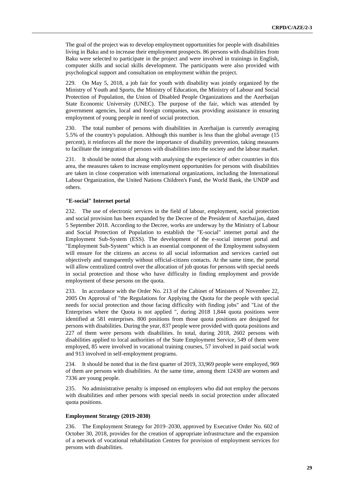The goal of the project was to develop employment opportunities for people with disabilities living in Baku and to increase their employment prospects. 86 persons with disabilities from Baku were selected to participate in the project and were involved in trainings in English, computer skills and social skills development. The participants were also provided with psychological support and consultation on employment within the project.

229. On May 5, 2018, a job fair for youth with disability was jointly organized by the Ministry of Youth and Sports, the Ministry of Education, the Ministry of Labour and Social Protection of Population, the Union of Disabled People Organizations and the Azerbaijan State Economic University (UNEC). The purpose of the fair, which was attended by government agencies, local and foreign companies, was providing assistance in ensuring employment of young people in need of social protection.

230. The total number of persons with disabilities in Azerbaijan is currently averaging 5.5% of the country's population. Although this number is less than the global average (15 percent), it reinforces all the more the importance of disability prevention, taking measures to facilitate the integration of persons with disabilities into the society and the labour market.

231. It should be noted that along with analysing the experience of other countries in this area, the measures taken to increase employment opportunities for persons with disabilities are taken in close cooperation with international organizations, including the International Labour Organization, the United Nations Children's Fund, the World Bank, the UNDP and others.

#### **"E-social" Internet portal**

232. The use of electronic services in the field of labour, employment, social protection and social provision has been expanded by the Decree of the President of Azerbaijan, dated 5 September 2018. According to the Decree, works are underway by the Ministry of Labour and Social Protection of Population to establish the "E-social" internet portal and the Employment Sub-System (ESS). The development of the e-social internet portal and "Employment Sub-System" which is an essential component of the Employment subsystem will ensure for the citizens an access to all social information and services carried out objectively and transparently without official-citizen contacts. At the same time, the portal will allow centralized control over the allocation of job quotas for persons with special needs in social protection and those who have difficulty in finding employment and provide employment of these persons on the quota.

233. In accordance with the Order No. 213 of the Cabinet of Ministers of November 22, 2005 On Approval of "the Regulations for Applying the Quota for the people with special needs for social protection and those facing difficulty with finding jobs" and "List of the Enterprises where the Quota is not applied ", during 2018 1,844 quota positions were identified at 581 enterprises. 800 positions from those quota positions are designed for persons with disabilities. During the year, 837 people were provided with quota positions and 227 of them were persons with disabilities. In total, during 2018, 2602 persons with disabilities applied to local authorities of the State Employment Service, 549 of them were employed, 85 were involved in vocational training courses, 57 involved in paid social work and 913 involved in self-employment programs.

234. It should be noted that in the first quarter of 2019, 33,969 people were employed, 969 of them are persons with disabilities. At the same time, among them 12430 are women and 7336 are young people.

235. No administrative penalty is imposed on employers who did not employ the persons with disabilities and other persons with special needs in social protection under allocated quota positions.

#### **Employment Strategy (2019-2030)**

236. The Employment Strategy for 2019–2030, approved by Executive Order No. 602 of October 30, 2018, provides for the creation of appropriate infrastructure and the expansion of a network of vocational rehabilitation Centres for provision of employment services for persons with disabilities.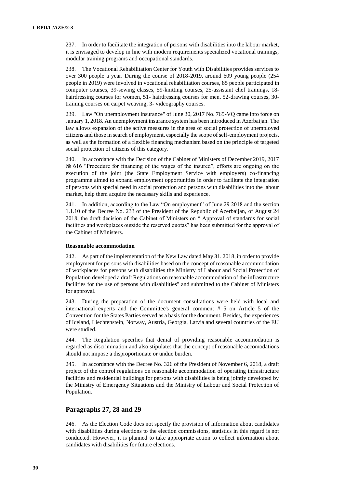237. In order to facilitate the integration of persons with disabilities into the labour market, it is envisaged to develop in line with modern requirements specialized vocational trainings, modular training programs and occupational standards.

238. The Vocational Rehabilitation Center for Youth with Disabilities provides services to over 300 people a year. During the course of 2018-2019, around 609 young people (254 people in 2019) were involved in vocational rehabilitation courses, 85 people participated in computer courses, 39-sewing classes, 59-knitting courses, 25-assistant chef trainings, 18 hairdressing courses for women, 51- hairdressing courses for men, 52-drawing courses, 30 training courses on carpet weaving, 3- videography courses.

239. Law "On unemployment insurance" of June 30, 2017 No. 765-VQ came into force on January 1, 2018. An unemployment insurance system has been introduced in Azerbaijan. The law allows expansion of the active measures in the area of social protection of unemployed citizens and those in search of employment, especially the scope of self-employment projects, as well as the formation of a flexible financing mechanism based on the principle of targeted social protection of citizens of this category.

240. In accordance with the Decision of the Cabinet of Ministers of December 2019, 2017 № 616 "Procedure for financing of the wages of the insured", efforts are ongoing on the execution of the joint (the State Employment Service with employers) co-financing programme aimed to expand employment opportunities in order to facilitate the integration of persons with special need in social protection and persons with disabilities into the labour market, help them acquire the necassary skills and experience.

241. In addition, according to the Law "On employment" of June 29 2018 and the section 1.1.10 of the Decree No. 233 of the President of the Republic of Azerbaijan, of August 24 2018, the draft decision of the Cabinet of Ministers on " Approval of standards for social facilities and workplaces outside the reserved quotas" has been submitted for the approval of the Cabinet of Ministers.

#### **Reasonable accommodation**

242. As part of the implementation of the New Law dated May 31. 2018, in order to provide employment for persons with disabilities based on the concept of reasonable accommodation of workplaces for persons with disabilities the Ministry of Labour and Social Protection of Population developed a draft Regulations on reasonable accommodation of the infrastructure facilities for the use of persons with disabilities" and submitted to the Cabinet of Ministers for approval.

243. During the preparation of the document consultations were held with local and international experts and the Committee's general comment # 5 on Article 5 of the Convention for the States Parties served as a basis for the document. Besides, the experiences of Iceland, Liechtenstein, Norway, Austria, Georgia, Latvia and several countries of the EU were studied.

244. The Regulation specifies that denial of providing reasonable accommodation is regarded as discrimination and also stipulates that the concept of reasonable accomodations should not impose a disproportionate or undue burden.

245. In accordance with the Decree No. 326 of the President of November 6, 2018, a draft project of the control regulations on reasonable accommodation of operating infrastructure facilities and residential buildings for persons with disabilities is being jointly developed by the Ministry of Emergency Situations and the Ministry of Labour and Social Protection of Population.

## **Paragraphs 27, 28 and 29**

246. As the Election Code does not specify the provision of information about candidates with disabilities during elections to the election commissions, statistics in this regard is not conducted. However, it is planned to take appropriate action to collect information about candidates with disabilities for future elections.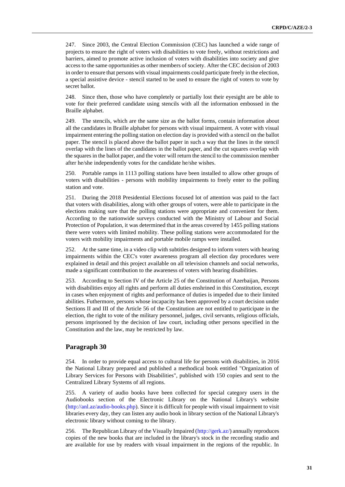247. Since 2003, the Central Election Commission (CEC) has launched a wide range of projects to ensure the right of voters with disabilities to vote freely, without restrictions and barriers, aimed to promote active inclusion of voters with disabilities into society and give access to the same opportunities as other members of society. After the CEC decision of 2003 in order to ensure that persons with visual impairments could participate freely in the election, a special assistive device - stencil started to be used to ensure the right of voters to vote by secret ballot.

248. Since then, those who have completely or partially lost their eyesight are be able to vote for their preferred candidate using stencils with all the information embossed in the Braille alphabet.

249. The stencils, which are the same size as the ballot forms, contain information about all the candidates in Braille alphabet for persons with visual impairment. A voter with visual impairment entering the polling station on election day is provided with a stencil on the ballot paper. The stencil is placed above the ballot paper in such a way that the lines in the stencil overlap with the lines of the candidates in the ballot paper, and the cut squares overlap with the squares in the ballot paper, and the voter will return the stencil to the commission member after he/she independently votes for the candidate he/she wishes.

250. Portable ramps in 1113 polling stations have been installed to allow other groups of voters with disabilities - persons with mobility impairments to freely enter to the polling station and vote.

251. During the 2018 Presidential Elections focused lot of attention was paid to the fact that voters with disabilities, along with other groups of voters, were able to participate in the elections making sure that the polling stations were appropriate and convenient for them. According to the nationwide surveys conducted with the Ministry of Labour and Social Protection of Population, it was determined that in the areas covered by 1455 polling stations there were voters with limited mobility. These polling stations were accommodated for the voters with mobility impairments and portable mobile ramps were installed.

252. At the same time, in a video clip with subtitles designed to inform voters with hearing impairments within the CEC's voter awareness program all election day procedures were explained in detail and this project available on all television channels and social networks, made a significant contribution to the awareness of voters with hearing disabilities.

253. According to Section IV of the Article 25 of the Constitution of Azerbaijan, Persons with disabilities enjoy all rights and perform all duties enshrined in this Constitution, except in cases when enjoyment of rights and performance of duties is impeded due to their limited abilities. Futhermore, persons whose incapacity has been approved by a court decision under Sections II and III of the Article 56 of the Constitution are not entitled to participate in the election, the right to vote of the military personnel, judges, civil servants, religious officials, persons imprisoned by the decision of law court, including other persons specified in the Constitution and the law, may be restricted by law.

#### **Paragraph 30**

254. In order to provide equal access to cultural life for persons with disabilities, in 2016 the National Library prepared and published a methodical book entitled "Organization of Library Services for Persons with Disabilities", published with 150 copies and sent to the Centralized Library Systems of all regions.

255. A variety of audio books have been collected for special category users in the Audiobooks section of the Electronic Library on the National Library's website [\(http://anl.az/audio-books.php\)](http://anl.az/audio-books.php). Since it is difficult for people with visual impairment to visit libraries every day, they can listen any audio book in library section of the National Library's electronic library without coming to the library.

256. The Republican Library of the Visually Impaired [\(http://gerk.az/\)](http://gerk.az/) annually reproduces copies of the new books that are included in the library's stock in the recording studio and are available for use by readers with visual impairment in the regions of the republic. In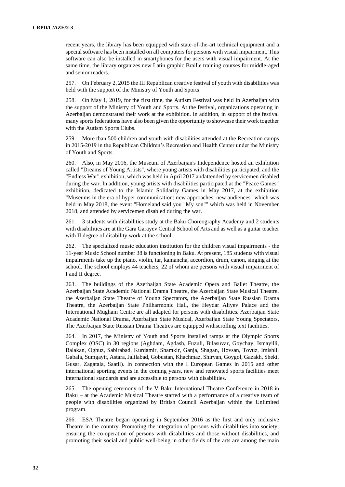recent years, the library has been equipped with state-of-the-art technical equipment and a special software has been installed on all computers for persons with visual impairment. This software can also be installed in smartphones for the users with visual impairment. At the same time, the library organizes new Latin graphic Braille training courses for middle-aged and senior readers.

257. On February 2, 2015 the III Republican creative festival of youth with disabilities was held with the support of the Ministry of Youth and Sports.

258. On May 1, 2019, for the first time, the Autism Festival was held in Azerbaijan with the support of the Ministry of Youth and Sports. At the festival, organizations operating in Azerbaijan demonstrated their work at the exhibition. In addition, in support of the festival many sports federations have also been given the opportunity to showcase their work together with the Autism Sports Clubs.

259. More than 500 children and youth with disabilities attended at the Recreation camps in 2015-2019 in the Republican Children's Recreation and Health Center under the Ministry of Youth and Sports.

260. Also, in May 2016, the Museum of Azerbaijan's Independence hosted an exhibition called "Dreams of Young Artists", where young artists with disabilities participated, and the "Endless War" exhibition, which was held in April 2017 andattended by servicemen disabled during the war. In addition, young artists with disabilities participated at the "Peace Games" exhibition, dedicated to the Islamic Solidarity Games in May 2017, at the exhibition "Museums in the era of hyper communication: new approaches, new audiences" which was held in May 2018, the event "Homeland said you "My son"" which was held in November 2018, and attended by servicemen disabled during the war.

261. 3 students with disabilities study at the Baku Choreography Academy and 2 students with disabilities are at the Gara Garayev Central School of Arts and as well as a guitar teacher with II degree of disability work at the school.

262. The specialized music education institution for the children visual impairments - the 11-year Music School number 38 is functioning in Baku. At present, 185 students with visual impairments take up the piano, violin, tar, kamancha, accordion, drum, canon, singing at the school. The school employs 44 teachers, 22 of whom are persons with visual impairment of I and II degree.

263. The buildings of the Azerbaijan State Academic Opera and Ballet Theatre, the Azerbaijan State Academic National Drama Theatre, the Azerbaijan State Musical Theatre, the Azerbaijan State Theatre of Young Spectators, the Azerbaijan State Russian Drama Theatre, the Azerbaijan State Philharmonic Hall, the Heydar Aliyev Palace and the International Mugham Centre are all adapted for persons with disabilities. Azerbaijan State Academic National Drama, Azerbaijan State Musical, Azerbaijan State Young Spectators, The Azerbaijan State Russian Drama Theatres are equipped withscrolling text facilities.

264. In 2017, the Ministry of Youth and Sports installed ramps at the Olympic Sports Complex (OSC) in 30 regions (Aghdam, Agdash, Fuzuli, Bilasuvar, Goychay, Ismayilli, Balakan, Oghuz, Sabirabad, Kurdamir, Shamkir, Ganja, Shagan, Hovsan, Tovuz, Imishli, Gabala, Sumgayit, Astara, Jalilabad, Gobustan, Khachmaz, Shirvan, Goygol, Gazakh, Sheki, Gusar, Zagatala, Saatli). In connection with the I European Games in 2015 and other international sporting events in the coming years, new and renovated sports facilities meet international standards and are accessible to persons with disabilities.

265. The opening ceremony of the V Baku International Theatre Conference in 2018 in Baku – at the Academic Musical Theatre started with a performance of a creative team of people with disabilities organized by British Council Azerbaijan within the Unlimited program.

266. ESA Theatre began operating in September 2016 as the first and only inclusive Theatre in the country. Promoting the integration of persons with disabilities into society, ensuring the co-operation of persons with disabilities and those without disabilities, and promoting their social and public well-being in other fields of the arts are among the main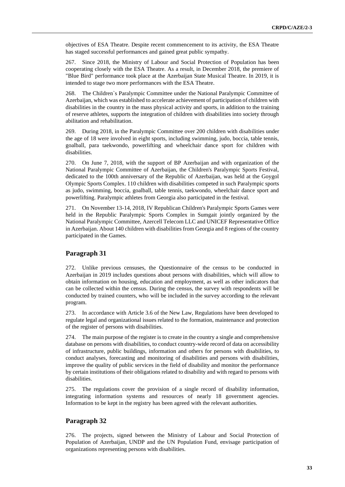objectives of ESA Theatre. Despite recent commencement to its activity, the ESA Theatre has staged successful performances and gained great public sympathy.

267. Since 2018, the Ministry of Labour and Social Protection of Population has been cooperating closely with the ESA Theatre. As a result, in December 2018, the premiere of "Blue Bird" performance took place at the Azerbaijan State Musical Theatre. In 2019, it is intended to stage two more performances with the ESA Theatre.

268. The Children`s Paralympic Committee under the National Paralympic Committee of Azerbaijan, which was established to accelerate achievement of participation of children with disabilities in the country in the mass physical activity and sports, in addition to the training of reserve athletes, supports the integration of children with disabilities into society through abilitation and rehabilitation.

269. During 2018, in the Paralympic Committee over 200 children with disabilities under the age of 18 were involved in eight sports, including swimming, judo, boccia, table tennis, goalball, para taekwondo, powerlifting and wheelchair dance sport for children with disabilities.

270. On June 7, 2018, with the support of BP Azerbaijan and with organization of the National Paralympic Committee of Azerbaijan, the Children's Paralympic Sports Festival, dedicated to the 100th anniversary of the Republic of Azerbaijan, was held at the Goygol Olympic Sports Complex. 110 children with disabilities competed in such Paralympic sports as judo, swimming, boccia, goalball, table tennis, taekwondo, wheelchair dance sport and powerlifting. Paralympic athletes from Georgia also participated in the festival.

271. On November 13-14, 2018, IV Republican Children's Paralympic Sports Games were held in the Republic Paralympic Sports Complex in Sumgait jointly organized by the National Paralympic Committee, Azercell Telecom LLC and UNICEF Representative Office in Azerbaijan. About 140 children with disabilities from Georgia and 8 regions of the country participated in the Games.

### **Paragraph 31**

272. Unlike previous censuses, the Questionnaire of the census to be conducted in Azerbaijan in 2019 includes questions about persons with disabilities, which will allow to obtain information on housing, education and employment, as well as other indicators that can be collected within the census. During the census, the survey with respondents will be conducted by trained counters, who will be included in the survey according to the relevant program.

273. In accordance with Article 3.6 of the New Law, Regulations have been developed to regulate legal and organizational issues related to the formation, maintenance and protection of the register of persons with disabilities.

274. The main purpose of the register is to create in the country a single and comprehensive database on persons with disabilities, to conduct country-wide record of data on accessibility of infrastructure, public buildings, information and others for persons with disabilities, to conduct analyses, forecasting and monitoring of disabilities and persons with disabilities, improve the quality of public services in the field of disability and monitor the performance by certain institutions of their obligations related to disability and with regard to persons with disabilities.

275. The regulations cover the provision of a single record of disability information, integrating information systems and resources of nearly 18 government agencies. Information to be kept in the registry has been agreed with the relevant authorities.

## **Paragraph 32**

276. The projects, signed between the Ministry of Labour and Social Protection of Population of Azerbaijan, UNDP and the UN Population Fund, envisage participation of organizations representing persons with disabilities.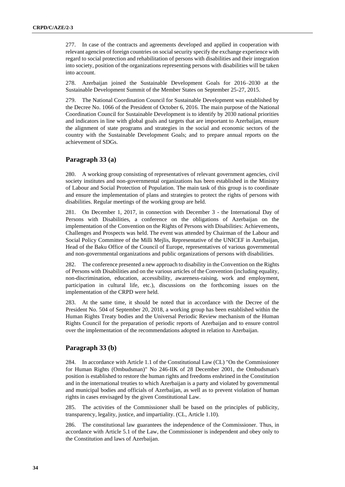277. In case of the contracts and agreements developed and applied in cooperation with relevant agencies of foreign countries on social security specify the exchange experience with regard to social protection and rehabilitation of persons with disabilities and their integration into society, position of the organizations representing persons with disabilities will be taken into account.

278. Azerbaijan joined the Sustainable Development Goals for 2016–2030 at the Sustainable Development Summit of the Member States on September 25-27, 2015.

279. The National Coordination Council for Sustainable Development was established by the Decree No. 1066 of the President of October 6, 2016. The main purpose of the National Coordination Council for Sustainable Development is to identify by 2030 national priorities and indicators in line with global goals and targets that are important to Azerbaijan, ensure the alignment of state programs and strategies in the social and economic sectors of the country with the Sustainable Development Goals; and to prepare annual reports on the achievement of SDGs.

### **Paragraph 33 (a)**

280. A working group consisting of representatives of relevant government agencies, civil society institutes and non-governmental organizations has been established in the Ministry of Labour and Social Protection of Population. The main task of this group is to coordinate and ensure the implementation of plans and strategies to protect the rights of persons with disabilities. Regular meetings of the working group are held.

281. On December 1, 2017, in connection with December 3 - the International Day of Persons with Disabilities, a conference on the obligations of Azerbaijan on the implementation of the Convention on the Rights of Persons with Disabilities: Achievements, Challenges and Prospects was held. The event was attended by Chairman of the Labour and Social Policy Committee of the Milli Mejlis, Representative of the UNICEF in Azerbaijan, Head of the Baku Office of the Council of Europe, representatives of various governmental and non-governmental organizations and public organizations of persons with disabilities.

282. The conference presented a new approach to disability in the Convention on the Rights of Persons with Disabilities and on the various articles of the Convention (including equality, non-discrimination, education, accessibility, awareness-raising, work and employment, participation in cultural life, etc.), discussions on the forthcoming issues on the implementation of the CRPD were held.

283. At the same time, it should be noted that in accordance with the Decree of the President No. 504 of September 20, 2018, a working group has been established within the Human Rights Treaty bodies and the Universal Periodic Review mechanism of the Human Rights Council for the preparation of periodic reports of Azerbaijan and to ensure control over the implementation of the recommendations adopted in relation to Azerbaijan.

#### **Paragraph 33 (b)**

284. In accordance with Article 1.1 of the Constitutional Law (CL) "On the Commissioner for Human Rights (Ombudsman)" No 246-IIK of 28 December 2001, the Ombudsman's position is established to restore the human rights and freedoms enshrined in the Constitution and in the international treaties to which Azerbaijan is a party and violated by governmental and municipal bodies and officials of Azerbaijan, as well as to prevent violation of human rights in cases envisaged by the given Constitutional Law.

285. The activities of the Commissioner shall be based on the principles of publicity, transparency, legality, justice, and impartiality. (CL, Article 1.10).

286. The constitutional law guarantees the independence of the Commissioner. Thus, in accordance with Article 5.1 of the Law, the Commissioner is independent and obey only to the Constitution and laws of Azerbaijan.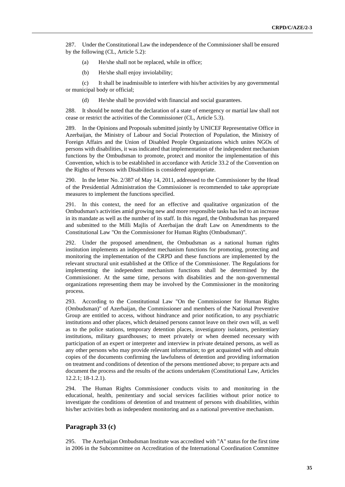287. Under the Constitutional Law the independence of the Commissioner shall be ensured by the following (CL, Article 5.2):

- (a) He/she shall not be replaced, while in office;
- (b) He/she shall enjoy inviolability;

(c) It shall be inadmissible to interfere with his/her activities by any governmental or municipal body or official;

(d) He/she shall be provided with financial and social guarantees.

288. It should be noted that the declaration of a state of emergency or martial law shall not cease or restrict the activities of the Commissioner (CL, Article 5.3).

289. In the Opinions and Proposals submitted jointly by UNICEF Representative Office in Azerbaijan, the Ministry of Labour and Social Protection of Population, the Ministry of Foreign Affairs and the Union of Disabled People Organizations which unites NGOs of persons with disabilities, it was indicated that implementation of the independent mechanism functions by the Ombudsman to promote, protect and monitor the implementation of this Convention, which is to be established in accordance with Article 33.2 of the Convention on the Rights of Persons with Disabilities is considered appropriate.

290. In the letter No. 2/387 of May 14, 2011, addressed to the Commissioner by the Head of the Presidential Administration the Commissioner is recommended to take appropriate measures to implement the functions specified.

291. In this context, the need for an effective and qualitative organization of the Ombudsman's activities amid growing new and more responsible tasks has led to an increase in its mandate as well as the number of its staff. In this regard, the Ombudsman has prepared and submitted to the Milli Majlis of Azerbaijan the draft Law on Amendments to the Constitutional Law "On the Commissioner for Human Rights (Ombudsman)".

292. Under the proposed amendment, the Ombudsman as a national human rights institution implements an independent mechanism functions for promoting, protecting and monitoring the implementation of the CRPD and these functions are implemented by the relevant structural unit established at the Office of the Commissioner. The Regulations for implementing the independent mechanism functions shall be determined by the Commissioner. At the same time, persons with disabilities and the non-governmental organizations representing them may be involved by the Commissioner in the monitoring process.

293. According to the Constitutional Law "On the Commissioner for Human Rights (Ombudsman)" of Azerbaijan, the Commissioner and members of the National Preventive Group are entitled to access, without hindrance and prior notification, to any psychiatric institutions and other places, which detained persons cannot leave on their own will, as well as to the police stations, temporary detention places, investigatory isolators, penitentiary institutions, military guardhouses; to meet privately or when deemed necessary with participation of an expert or interpreter and interview in private detained persons, as well as any other persons who may provide relevant information; to get acquainted with and obtain copies of the documents confirming the lawfulness of detention and providing information on treatment and conditions of detention of the persons mentioned above; to prepare acts and document the process and the results of the actions undertaken (Constitutional Law, Articles 12.2.1; 18-1.2.1).

294. The Human Rights Commissioner conducts visits to and monitoring in the educational, health, penitentiary and social services facilities without prior notice to investigate the conditions of detention of and treatment of persons with disabilities, within his/her activities both as independent monitoring and as a national preventive mechanism.

#### **Paragraph 33 (c)**

295. The Azerbaijan Ombudsman Institute was accredited with "A" status for the first time in 2006 in the Subcommittee on Accreditation of the International Coordination Committee